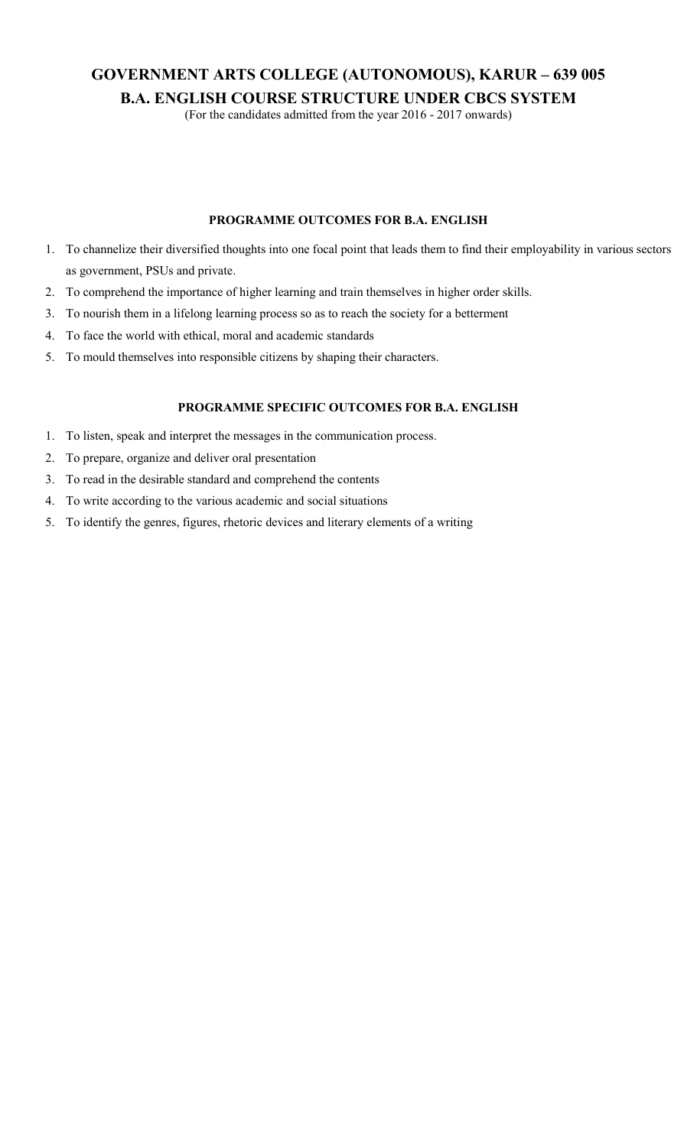# **GOVERNMENT ARTS COLLEGE (AUTONOMOUS), KARUR – 639 005 B.A. ENGLISH COURSE STRUCTURE UNDER CBCS SYSTEM**

(For the candidates admitted from the year 2016 - 2017 onwards)

#### **PROGRAMME OUTCOMES FOR B.A. ENGLISH**

- 1. To channelize their diversified thoughts into one focal point that leads them to find their employability in various sectors as government, PSUs and private.
- 2. To comprehend the importance of higher learning and train themselves in higher order skills.
- 3. To nourish them in a lifelong learning process so as to reach the society for a betterment
- 4. To face the world with ethical, moral and academic standards
- 5. To mould themselves into responsible citizens by shaping their characters.

#### **PROGRAMME SPECIFIC OUTCOMES FOR B.A. ENGLISH**

- 1. To listen, speak and interpret the messages in the communication process.
- 2. To prepare, organize and deliver oral presentation
- 3. To read in the desirable standard and comprehend the contents
- 4. To write according to the various academic and social situations
- 5. To identify the genres, figures, rhetoric devices and literary elements of a writing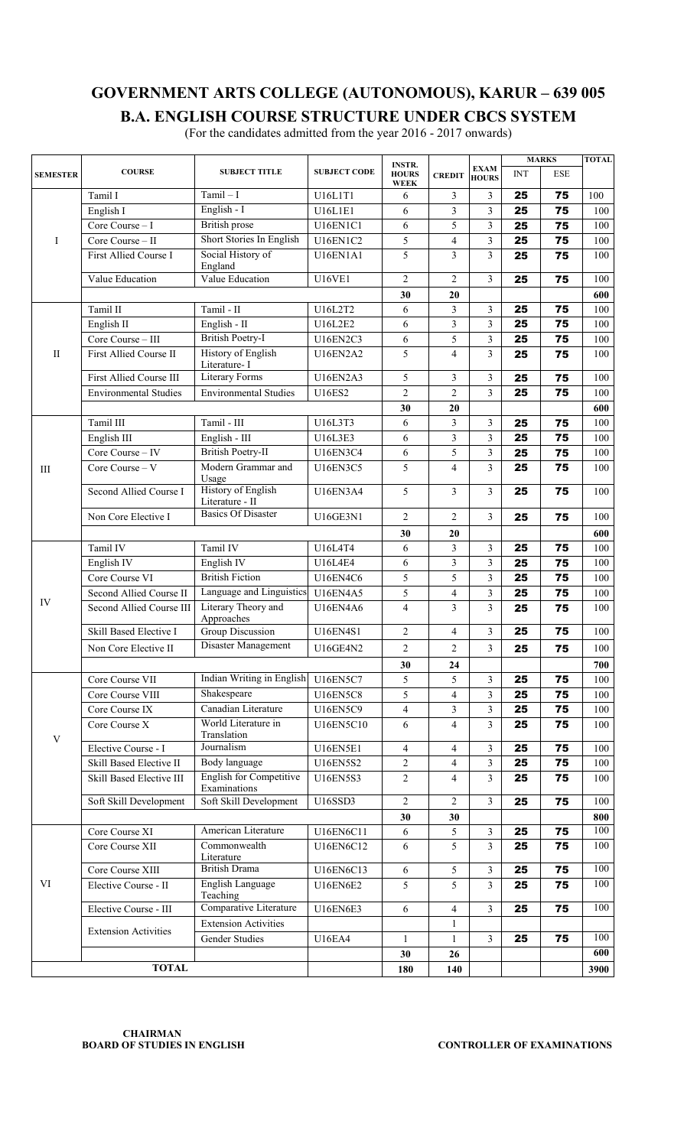**B.A. ENGLISH COURSE STRUCTURE UNDER CBCS SYSTEM**  (For the candidates admitted from the year 2016 - 2017 onwards)

|                 | <b>COURSE</b>                       | <b>SUBJECT TITLE</b>                           | <b>SUBJECT CODE</b> | <b>INSTR.</b>               |                          | <b>EXAM</b>             |            | <b>MARKS</b> | <b>TOTAL</b> |
|-----------------|-------------------------------------|------------------------------------------------|---------------------|-----------------------------|--------------------------|-------------------------|------------|--------------|--------------|
| <b>SEMESTER</b> |                                     |                                                |                     | <b>HOURS</b><br><b>WEEK</b> | <b>CREDIT</b>            | <b>HOURS</b>            | <b>INT</b> | <b>ESE</b>   |              |
|                 | Tamil I                             | $Tamil-I$                                      | U16L1T1             | 6                           | 3                        | 3                       | 25         | 75           | 100          |
|                 | English I                           | English - $I$                                  | U16L1E1             | 6                           | 3                        | 3                       | 25         | 75           | 100          |
|                 | Core Course - I                     | British prose                                  | U16EN1C1            | 6                           | 5                        | 3                       | 25         | 75           | 100          |
| I               | Core Course - II                    | Short Stories In English                       | <b>U16EN1C2</b>     | 5                           | $\overline{\mathbf{4}}$  | $\overline{\mathbf{3}}$ | 25         | 75           | 100          |
|                 | First Allied Course I               | Social History of<br>England                   | <b>U16EN1A1</b>     | 5                           | 3                        | $\overline{3}$          | 25         | 75           | 100          |
|                 | Value Education                     | Value Education                                | <b>U16VE1</b>       | $\overline{2}$              | $\overline{2}$           | $\overline{3}$          | 25         | 75           | 100          |
|                 |                                     |                                                |                     | 30                          | 20                       |                         |            |              | 600          |
|                 | Tamil II                            | Tamil - II                                     | U16L2T2             | 6                           | 3                        | 3                       | 25         | 75           | 100          |
|                 | English II                          | English - II                                   | U16L2E2             | 6                           | $\mathfrak{Z}$           | $\overline{\mathbf{3}}$ | 25         | 75           | 100          |
|                 | Core Course - III                   | <b>British Poetry-I</b>                        | <b>U16EN2C3</b>     | 6                           | 5                        | 3                       | 25         | 75           | 100          |
| $\mathbf{I}$    | First Allied Course II              | <b>History of English</b><br>Literature- I     | <b>U16EN2A2</b>     | 5                           | $\overline{4}$           | $\overline{3}$          | 25         | 75           | 100          |
|                 | First Allied Course III             | <b>Literary Forms</b>                          | <b>U16EN2A3</b>     | 5                           | 3                        | 3                       | 25         | 75           | 100          |
|                 | <b>Environmental Studies</b>        | <b>Environmental Studies</b>                   | <b>U16ES2</b>       | $\overline{2}$              | $\overline{c}$           | 3                       | 25         | 75           | 100          |
|                 |                                     |                                                |                     | 30                          | 20                       |                         |            |              | 600          |
|                 | Tamil III                           | Tamil - III                                    | U16L3T3             | 6                           | 3                        | $\overline{3}$          | 25         | 75           | 100          |
|                 | English III                         | English - III                                  | U16L3E3             | 6                           | $\overline{\mathbf{3}}$  | $\overline{3}$          | 25         | 75           | 100          |
|                 | Core Course - IV                    | <b>British Poetry-II</b>                       | <b>U16EN3C4</b>     | 6                           | 5                        | $\mathfrak{Z}$          | 25         | 75           | 100          |
| Ш               | Core Course - V                     | Modern Grammar and<br>Usage                    | <b>U16EN3C5</b>     | 5                           | 4                        | 3                       | 25         | 75           | 100          |
|                 | Second Allied Course I              | <b>History of English</b><br>Literature - II   | <b>U16EN3A4</b>     | 5                           | 3                        | $\mathfrak{Z}$          | 25         | 75           | 100          |
|                 | Non Core Elective I                 | <b>Basics Of Disaster</b>                      | <b>U16GE3N1</b>     | 2                           | 2                        | $\overline{3}$          | 25         | 75           | 100          |
|                 |                                     |                                                |                     | 30                          | 20                       |                         |            |              | 600          |
|                 | Tamil IV                            | Tamil IV                                       | U16L4T4             | 6                           | 3                        | 3                       | 25         | 75           | 100          |
|                 | English IV                          | English IV                                     | U16L4E4             | 6                           | 3                        | $\overline{\mathbf{3}}$ | 25         | 75           | 100          |
|                 | Core Course VI                      | <b>British Fiction</b>                         | <b>U16EN4C6</b>     | 5                           | 5                        | $\overline{3}$          | 25         | 75           | 100          |
|                 | Second Allied Course II             | Language and Linguistics                       | <b>U16EN4A5</b>     | 5                           | $\overline{\mathcal{L}}$ | $\mathfrak{Z}$          | 25         | 75           | 100          |
| IV              | Second Allied Course III            | Literary Theory and<br>Approaches              | <b>U16EN4A6</b>     | $\overline{4}$              | 3                        | 3                       | 25         | 75           | 100          |
|                 | Skill Based Elective I              | Group Discussion                               | <b>U16EN4S1</b>     | $\sqrt{2}$                  | $\overline{\mathcal{L}}$ | 3                       | 25         | 75           | 100          |
|                 | Non Core Elective II                | Disaster Management                            | <b>U16GE4N2</b>     | $\overline{2}$              | $\overline{2}$           | $\overline{3}$          | 25         | 75           | 100          |
|                 |                                     |                                                |                     |                             |                          |                         |            |              |              |
|                 |                                     | Indian Writing in English                      | <b>U16EN5C7</b>     | 30                          | 24                       |                         |            |              | 700          |
|                 | Core Course VII<br>Core Course VIII | Shakespeare                                    | <b>U16EN5C8</b>     | 5                           | 5                        | 3<br>$\overline{3}$     | 25         | 75           | 100          |
|                 | Core Course IX                      | Canadian Literature                            |                     | 5                           | $\overline{4}$           |                         | 25         | 75           | 100          |
|                 |                                     | World Literature in                            | <b>U16EN5C9</b>     | $\overline{4}$              | 3                        | 3<br>$\overline{3}$     | 25         | 75           | 100          |
| $\mathbf V$     | Core Course X                       | Translation                                    | U16EN5C10           | 6                           | $\overline{4}$           |                         | 25         | 75           | 100          |
|                 | Elective Course - I                 | Journalism                                     | <b>U16EN5E1</b>     | $\overline{4}$              | 4                        | $\overline{3}$          | 25         | 75           | 100          |
|                 | Skill Based Elective II             | Body language                                  | U16EN5S2            | $\overline{c}$              | $\overline{4}$           | $\overline{3}$          | 25         | 75           | 100          |
|                 | Skill Based Elective III            | <b>English for Competitive</b><br>Examinations | <b>U16EN5S3</b>     | $\overline{2}$              | 4                        | $\overline{3}$          | 25         | 75           | 100          |
|                 | Soft Skill Development              | Soft Skill Development                         | U16SSD3             | $\overline{2}$              | 2                        | $\overline{3}$          | 25         | 75           | 100          |
|                 |                                     |                                                |                     | 30                          | 30                       |                         |            |              | 800          |
|                 | Core Course XI                      | American Literature                            | U16EN6C11           | 6                           | 5                        | 3                       | 25         | 75           | 100          |
|                 | Core Course XII                     | Commonwealth<br>Literature                     | U16EN6C12           | 6                           | 5                        | $\overline{3}$          | 25         | 75           | 100          |
|                 | Core Course XIII                    | <b>British Drama</b>                           | U16EN6C13           | 6                           | 5                        | 3                       | 25         | 75           | 100          |
| VI              | Elective Course - II                | English Language<br>Teaching                   | <b>U16EN6E2</b>     | 5                           | 5                        | $\overline{3}$          | 25         | 75           | 100          |
|                 | Elective Course - III               | Comparative Literature                         | <b>U16EN6E3</b>     | 6                           | $\overline{4}$           | $\overline{3}$          | 25         | 75           | 100          |
|                 |                                     | <b>Extension Activities</b>                    |                     |                             | 1                        |                         |            |              |              |
|                 | <b>Extension Activities</b>         | Gender Studies                                 | <b>U16EA4</b>       | $\mathbf{1}$                | $\mathbf{1}$             | $\overline{3}$          | 25         | 75           | 100          |
|                 |                                     |                                                |                     | 30                          | 26                       |                         |            |              | 600          |
|                 | <b>TOTAL</b>                        |                                                |                     | 180                         | 140                      |                         |            |              | 3900         |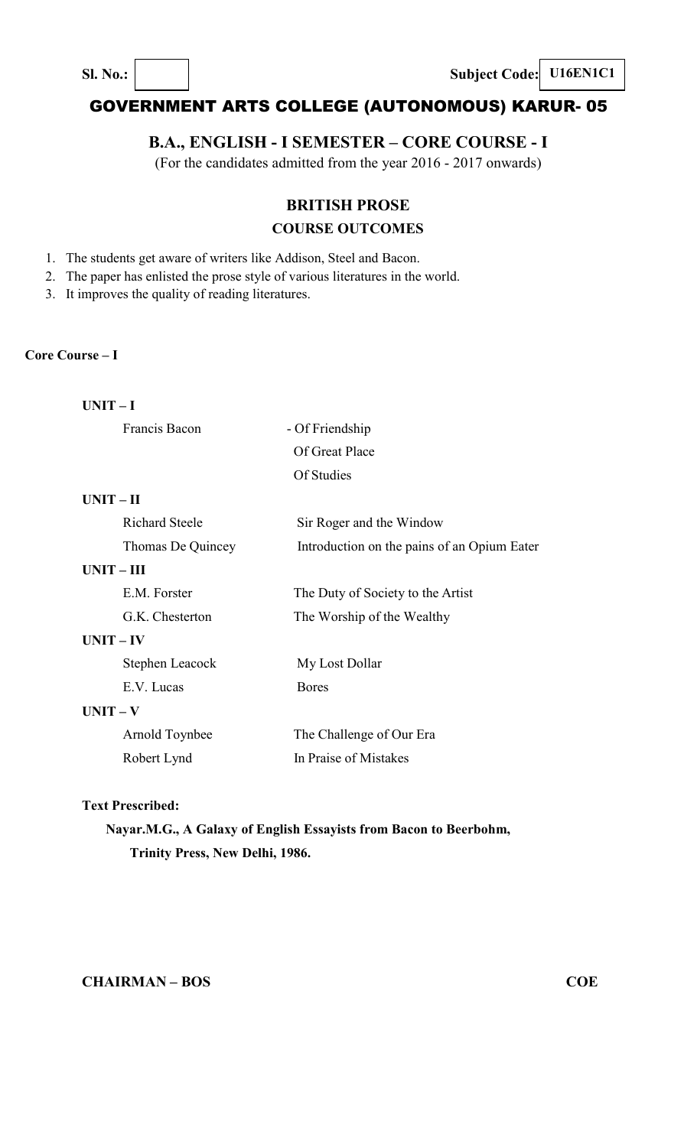**Sl. No.:**  $\begin{vmatrix} \cdot & \cdot & \cdot \\ \cdot & \cdot & \cdot \\ \cdot & \cdot & \cdot \end{vmatrix}$  **Subject Code:** U16EN1C1

# GOVERNMENT ARTS COLLEGE (AUTONOMOUS) KARUR- 05

## **B.A., ENGLISH - I SEMESTER – CORE COURSE - I**

(For the candidates admitted from the year 2016 - 2017 onwards)

## **BRITISH PROSE**

## **COURSE OUTCOMES**

- 1. The students get aware of writers like Addison, Steel and Bacon.
- 2. The paper has enlisted the prose style of various literatures in the world.
- 3. It improves the quality of reading literatures.

#### **Core Course – I**

| <b>UNIT</b> |  |
|-------------|--|
|             |  |

Francis Bacon - Of Friendship

Of Great Place Of Studies

#### **UNIT – II**

|              | <b>Richard Steele</b> | Sir Roger and the Window                    |
|--------------|-----------------------|---------------------------------------------|
|              | Thomas De Quincey     | Introduction on the pains of an Opium Eater |
| $UNIT - III$ |                       |                                             |
|              | E.M. Forster          | The Duty of Society to the Artist           |
|              | G.K. Chesterton       | The Worship of the Wealthy                  |
| $UNIT - IV$  |                       |                                             |
|              | Stephen Leacock       | My Lost Dollar                              |
|              | E.V. Lucas            | <b>Bores</b>                                |
| $UNIT - V$   |                       |                                             |
|              | Arnold Toynbee        | The Challenge of Our Era                    |
|              | Robert Lynd           | In Praise of Mistakes                       |

#### **Text Prescribed:**

# **Nayar.M.G., A Galaxy of English Essayists from Bacon to Beerbohm, Trinity Press, New Delhi, 1986.**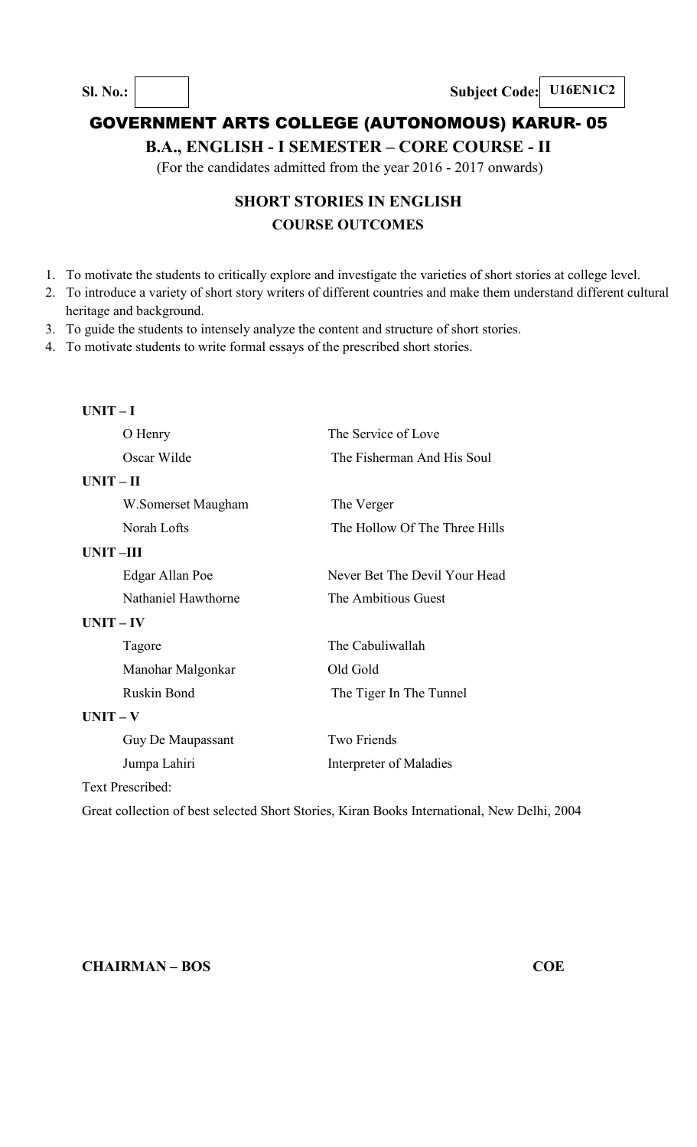**B.A., ENGLISH - I SEMESTER – CORE COURSE - II** 

(For the candidates admitted from the year 2016 - 2017 onwards)

# **SHORT STORIES IN ENGLISH COURSE OUTCOMES**

- 1. To motivate the students to critically explore and investigate the varieties of short stories at college level.
- 2. To introduce a variety of short story writers of different countries and make them understand different cultural heritage and background.
- 3. To guide the students to intensely analyze the content and structure of short stories.

4. To motivate students to write formal essays of the prescribed short stories.

| $UNIT-I$                |                     |                               |  |
|-------------------------|---------------------|-------------------------------|--|
|                         | O Henry             | The Service of Love           |  |
|                         | Oscar Wilde         | The Fisherman And His Soul    |  |
| $UNIT - II$             |                     |                               |  |
|                         | W.Somerset Maugham  | The Verger                    |  |
|                         | Norah Lofts         | The Hollow Of The Three Hills |  |
| <b>UNIT-III</b>         |                     |                               |  |
|                         | Edgar Allan Poe     | Never Bet The Devil Your Head |  |
|                         | Nathaniel Hawthorne | The Ambitious Guest           |  |
| $UNIT - IV$             |                     |                               |  |
| Tagore                  |                     | The Cabuliwallah              |  |
|                         | Manohar Malgonkar   | Old Gold                      |  |
|                         | <b>Ruskin Bond</b>  | The Tiger In The Tunnel       |  |
| $UNIT - V$              |                     |                               |  |
|                         | Guy De Maupassant   | <b>Two Friends</b>            |  |
|                         | Jumpa Lahiri        | Interpreter of Maladies       |  |
| <b>Text Prescribed:</b> |                     |                               |  |

Great collection of best selected Short Stories, Kiran Books International, New Delhi, 2004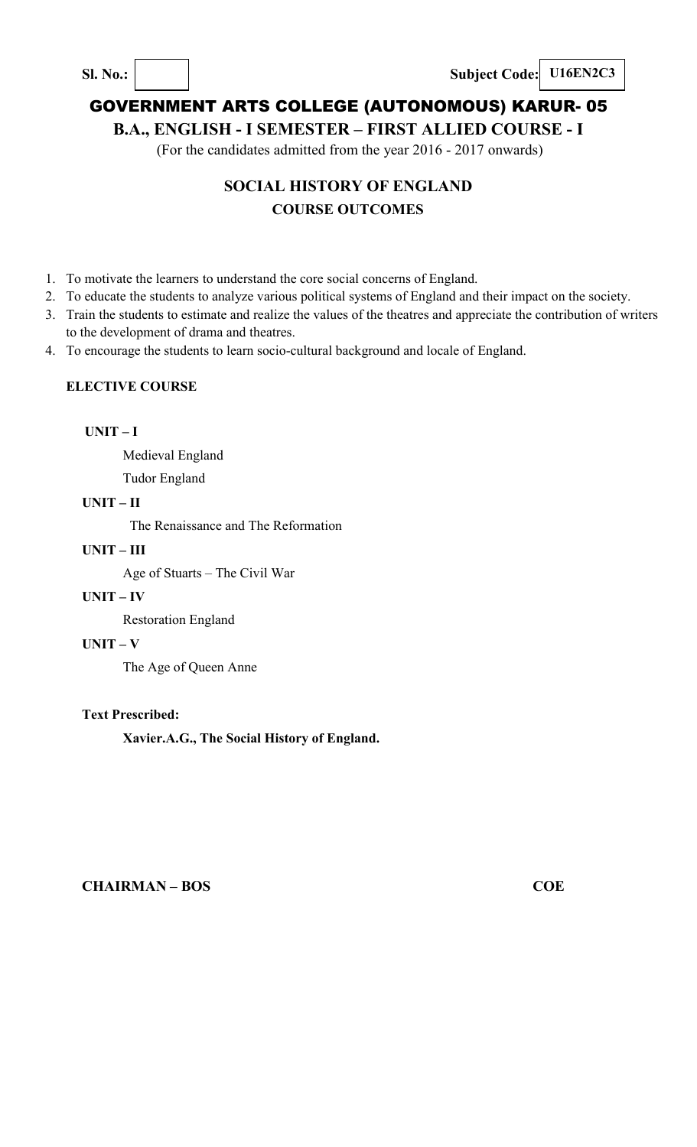**Sl. No.: Subject Code: U16EN2C3**

# GOVERNMENT ARTS COLLEGE (AUTONOMOUS) KARUR- 05

## **B.A., ENGLISH - I SEMESTER – FIRST ALLIED COURSE - I**

(For the candidates admitted from the year 2016 - 2017 onwards)

# **SOCIAL HISTORY OF ENGLAND COURSE OUTCOMES**

- 1. To motivate the learners to understand the core social concerns of England.
- 2. To educate the students to analyze various political systems of England and their impact on the society.
- 3. Train the students to estimate and realize the values of the theatres and appreciate the contribution of writers to the development of drama and theatres.
- 4. To encourage the students to learn socio-cultural background and locale of England.

### **ELECTIVE COURSE**

### **UNIT – I**

Medieval England

Tudor England

### **UNIT – II**

The Renaissance and The Reformation

### **UNIT – III**

Age of Stuarts – The Civil War

## **UNIT – IV**

Restoration England

## **UNIT – V**

The Age of Queen Anne

## **Text Prescribed:**

**Xavier.A.G., The Social History of England.**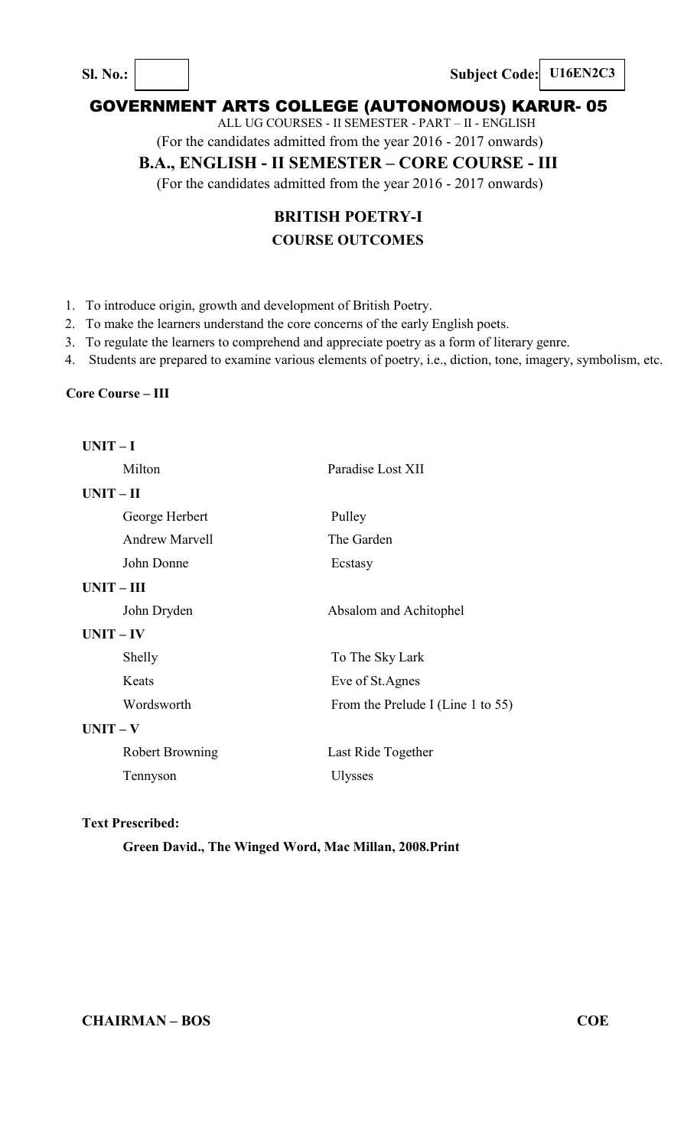**Sl. No.: Subject Code: U16EN2C3**

## GOVERNMENT ARTS COLLEGE (AUTONOMOUS) KARUR- 05

ALL UG COURSES - II SEMESTER - PART – II - ENGLISH

(For the candidates admitted from the year 2016 - 2017 onwards)

## **B.A., ENGLISH - II SEMESTER – CORE COURSE - III**

(For the candidates admitted from the year 2016 - 2017 onwards)

# **BRITISH POETRY-I COURSE OUTCOMES**

- 1. To introduce origin, growth and development of British Poetry.
- 2. To make the learners understand the core concerns of the early English poets.
- 3. To regulate the learners to comprehend and appreciate poetry as a form of literary genre.
- 4. Students are prepared to examine various elements of poetry, i.e., diction, tone, imagery, symbolism, etc.

#### **Core Course – III**

| Paradise Lost XII                 |
|-----------------------------------|
|                                   |
| Pulley                            |
| The Garden                        |
| Ecstasy                           |
|                                   |
| Absalom and Achitophel            |
|                                   |
| To The Sky Lark                   |
| Eve of St.Agnes                   |
| From the Prelude I (Line 1 to 55) |
|                                   |
| Last Ride Together                |
| <b>Ulysses</b>                    |
|                                   |

#### **Text Prescribed:**

#### **Green David., The Winged Word, Mac Millan, 2008.Print**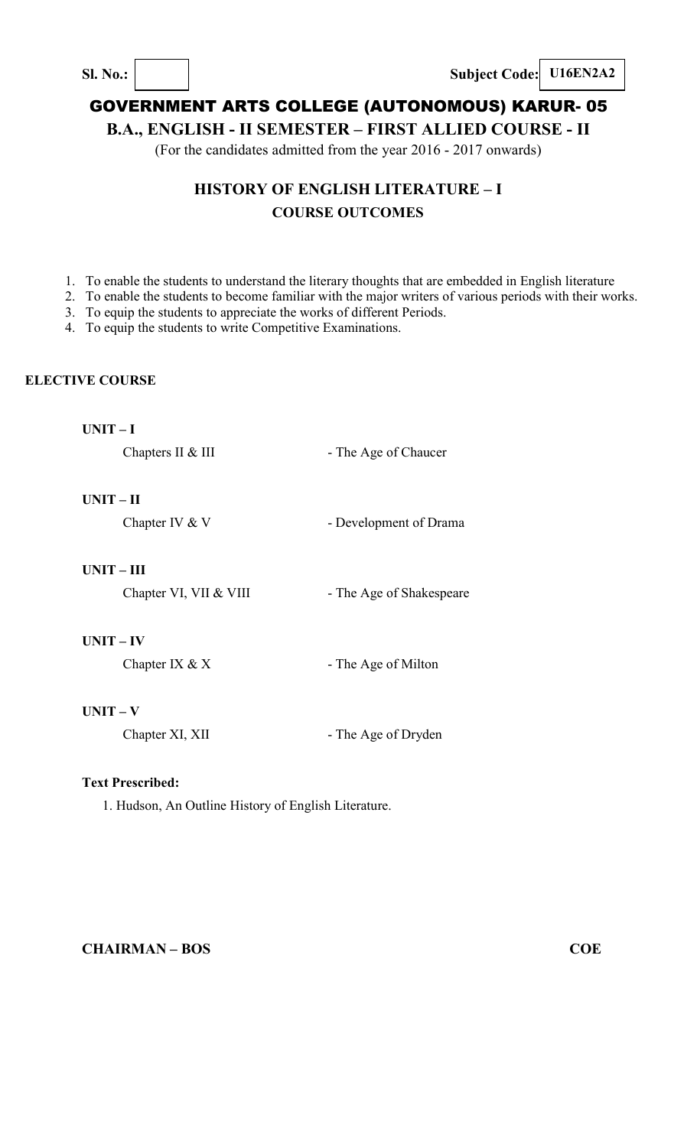**Sl. No.: Subject Code: U16EN2A2** 

# GOVERNMENT ARTS COLLEGE (AUTONOMOUS) KARUR- 05

**B.A., ENGLISH - II SEMESTER – FIRST ALLIED COURSE - II** 

(For the candidates admitted from the year 2016 - 2017 onwards)

# **HISTORY OF ENGLISH LITERATURE – I COURSE OUTCOMES**

- 1. To enable the students to understand the literary thoughts that are embedded in English literature
- 2. To enable the students to become familiar with the major writers of various periods with their works.
- 3. To equip the students to appreciate the works of different Periods.

4. To equip the students to write Competitive Examinations.

## **ELECTIVE COURSE**

| ×<br>٠ |  |
|--------|--|
|--------|--|

Chapters II & III - The Age of Chaucer

## **UNIT – II**

Chapter IV & V - Development of Drama

#### **UNIT – III**

Chapter VI, VII & VIII - The Age of Shakespeare

## **UNIT – IV**

| - The Age of Milton |
|---------------------|
|                     |

## **UNIT – V**

Chapter XI, XII - The Age of Dryden

## **Text Prescribed:**

1. Hudson, An Outline History of English Literature.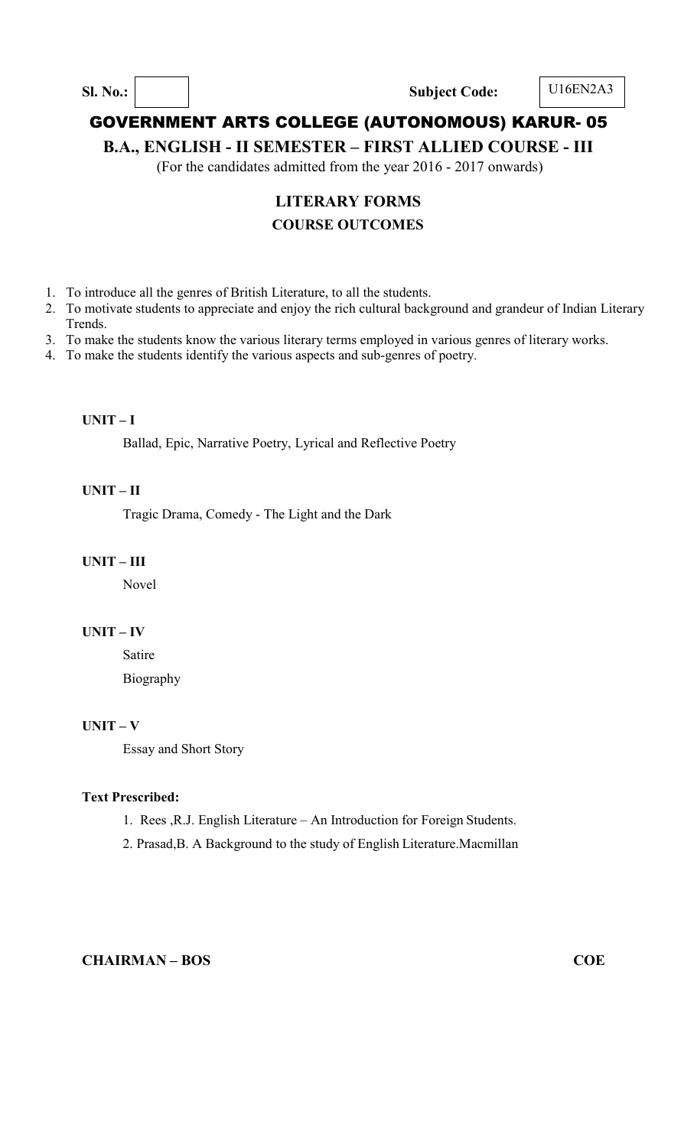**Sl. No.: Subject Code:** U16EN2A3

## GOVERNMENT ARTS COLLEGE (AUTONOMOUS) KARUR- 05

**B.A., ENGLISH - II SEMESTER – FIRST ALLIED COURSE - III** 

(For the candidates admitted from the year 2016 - 2017 onwards)

# **LITERARY FORMS**

## **COURSE OUTCOMES**

- 1. To introduce all the genres of British Literature, to all the students.
- 2. To motivate students to appreciate and enjoy the rich cultural background and grandeur of Indian Literary Trends.
- 3. To make the students know the various literary terms employed in various genres of literary works.
- 4. To make the students identify the various aspects and sub-genres of poetry.

#### **UNIT – I**

Ballad, Epic, Narrative Poetry, Lyrical and Reflective Poetry

#### **UNIT – II**

Tragic Drama, Comedy - The Light and the Dark

### **UNIT – III**

Novel

### **UNIT – IV**

Satire Biography

## **UNIT – V**

Essay and Short Story

#### **Text Prescribed:**

- 1. Rees ,R.J. English Literature An Introduction for Foreign Students.
- 2. Prasad,B. A Background to the study of English Literature.Macmillan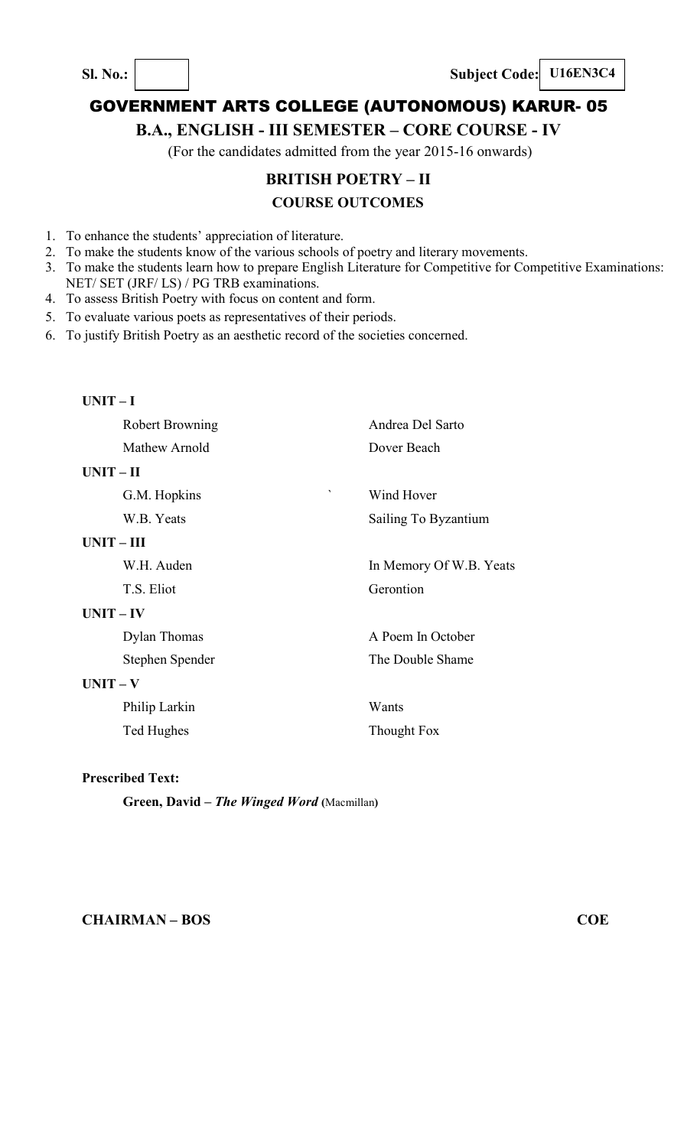**Sl. No.: Subject Code: U16EN3C4** 

# GOVERNMENT ARTS COLLEGE (AUTONOMOUS) KARUR- 05

## **B.A., ENGLISH - III SEMESTER – CORE COURSE - IV**

(For the candidates admitted from the year 2015-16 onwards)

# **BRITISH POETRY – II**

## **COURSE OUTCOMES**

- 1. To enhance the students' appreciation of literature.
- 2. To make the students know of the various schools of poetry and literary movements.
- 3. To make the students learn how to prepare English Literature for Competitive for Competitive Examinations: NET/ SET (JRF/ LS) / PG TRB examinations.
- 4. To assess British Poetry with focus on content and form.
- 5. To evaluate various poets as representatives of their periods.
- 6. To justify British Poetry as an aesthetic record of the societies concerned.

| $UNIT-I$     |                        |                         |
|--------------|------------------------|-------------------------|
|              | <b>Robert Browning</b> | Andrea Del Sarto        |
|              | Mathew Arnold          | Dover Beach             |
| $UNIT - II$  |                        |                         |
|              | G.M. Hopkins           | Wind Hover              |
|              | W.B. Yeats             | Sailing To Byzantium    |
| $UNIT - III$ |                        |                         |
|              | W.H. Auden             | In Memory Of W.B. Yeats |
|              | T.S. Eliot             | Gerontion               |
| $UNIT - IV$  |                        |                         |
|              | Dylan Thomas           | A Poem In October       |
|              | Stephen Spender        | The Double Shame        |
| $UNIT - V$   |                        |                         |
|              | Philip Larkin          | Wants                   |
|              | Ted Hughes             | Thought Fox             |

## **Prescribed Text:**

**Green, David –** *The Winged Word* **(**Macmillan**)**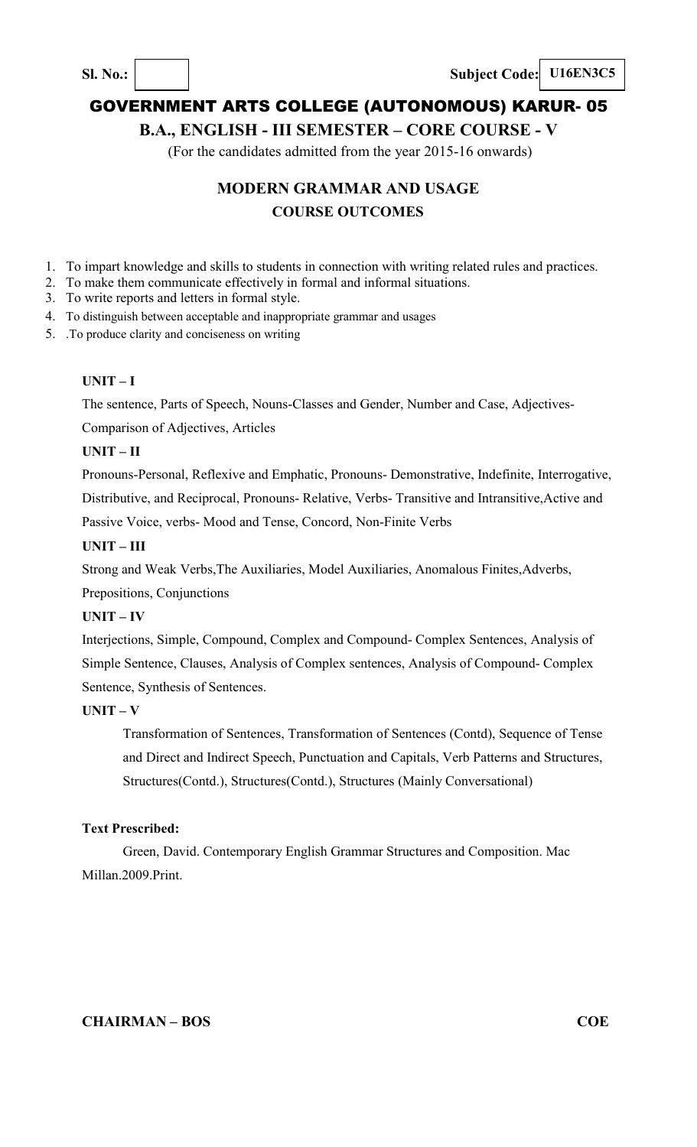**Sl. No.: Subject Code: U16EN3C5**

# GOVERNMENT ARTS COLLEGE (AUTONOMOUS) KARUR- 05

## **B.A., ENGLISH - III SEMESTER – CORE COURSE - V**

(For the candidates admitted from the year 2015-16 onwards)

# **MODERN GRAMMAR AND USAGE COURSE OUTCOMES**

- 1. To impart knowledge and skills to students in connection with writing related rules and practices.
- 2. To make them communicate effectively in formal and informal situations.
- 3. To write reports and letters in formal style.
- 4. To distinguish between acceptable and inappropriate grammar and usages
- 5. .To produce clarity and conciseness on writing

## **UNIT – I**

The sentence, Parts of Speech, Nouns-Classes and Gender, Number and Case, Adjectives-

Comparison of Adjectives, Articles

## **UNIT – II**

Pronouns-Personal, Reflexive and Emphatic, Pronouns- Demonstrative, Indefinite, Interrogative, Distributive, and Reciprocal, Pronouns- Relative, Verbs- Transitive and Intransitive,Active and Passive Voice, verbs- Mood and Tense, Concord, Non-Finite Verbs

## **UNIT – III**

Strong and Weak Verbs,The Auxiliaries, Model Auxiliaries, Anomalous Finites,Adverbs,

Prepositions, Conjunctions

## **UNIT – IV**

Interjections, Simple, Compound, Complex and Compound- Complex Sentences, Analysis of Simple Sentence, Clauses, Analysis of Complex sentences, Analysis of Compound- Complex Sentence, Synthesis of Sentences.

## **UNIT – V**

Transformation of Sentences, Transformation of Sentences (Contd), Sequence of Tense and Direct and Indirect Speech, Punctuation and Capitals, Verb Patterns and Structures, Structures(Contd.), Structures(Contd.), Structures (Mainly Conversational)

## **Text Prescribed:**

Green, David. Contemporary English Grammar Structures and Composition. Mac Millan.2009.Print.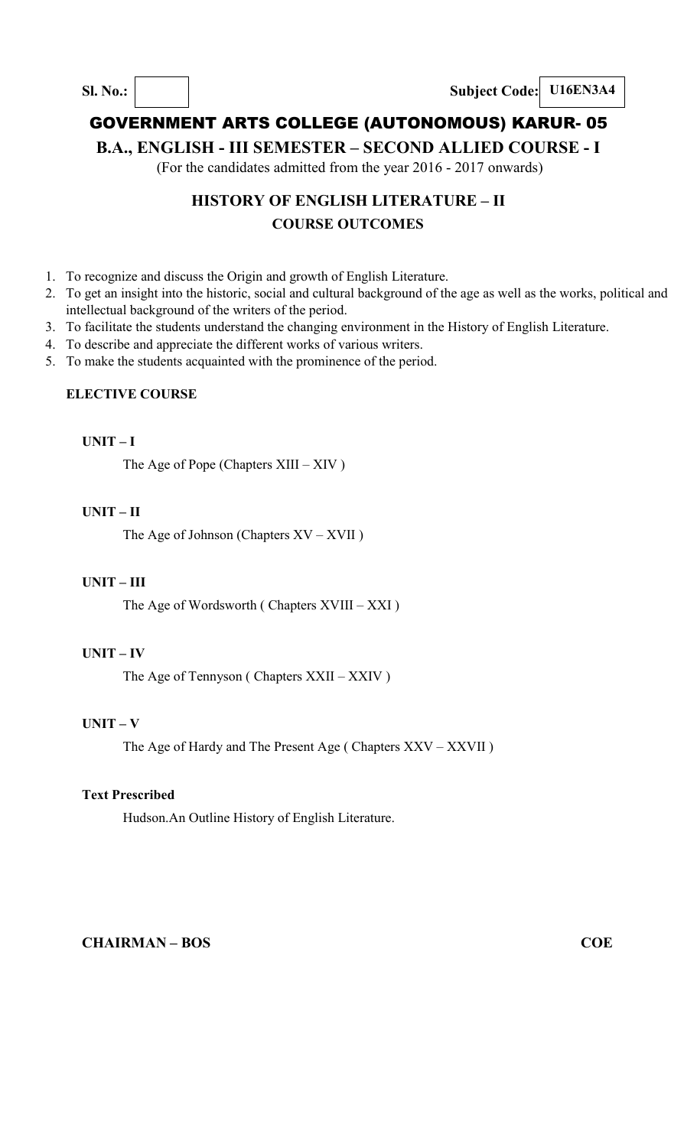**B.A., ENGLISH - III SEMESTER – SECOND ALLIED COURSE - I** 

(For the candidates admitted from the year 2016 - 2017 onwards)

# **HISTORY OF ENGLISH LITERATURE – II COURSE OUTCOMES**

- 1. To recognize and discuss the Origin and growth of English Literature.
- 2. To get an insight into the historic, social and cultural background of the age as well as the works, political and intellectual background of the writers of the period.
- 3. To facilitate the students understand the changing environment in the History of English Literature.
- 4. To describe and appreciate the different works of various writers.
- 5. To make the students acquainted with the prominence of the period.

#### **ELECTIVE COURSE**

#### **UNIT – I**

The Age of Pope (Chapters XIII – XIV )

### **UNIT – II**

The Age of Johnson (Chapters XV – XVII )

#### **UNIT – III**

The Age of Wordsworth ( Chapters XVIII – XXI )

### **UNIT – IV**

The Age of Tennyson ( Chapters XXII – XXIV )

## **UNIT – V**

The Age of Hardy and The Present Age ( Chapters XXV – XXVII )

#### **Text Prescribed**

Hudson.An Outline History of English Literature.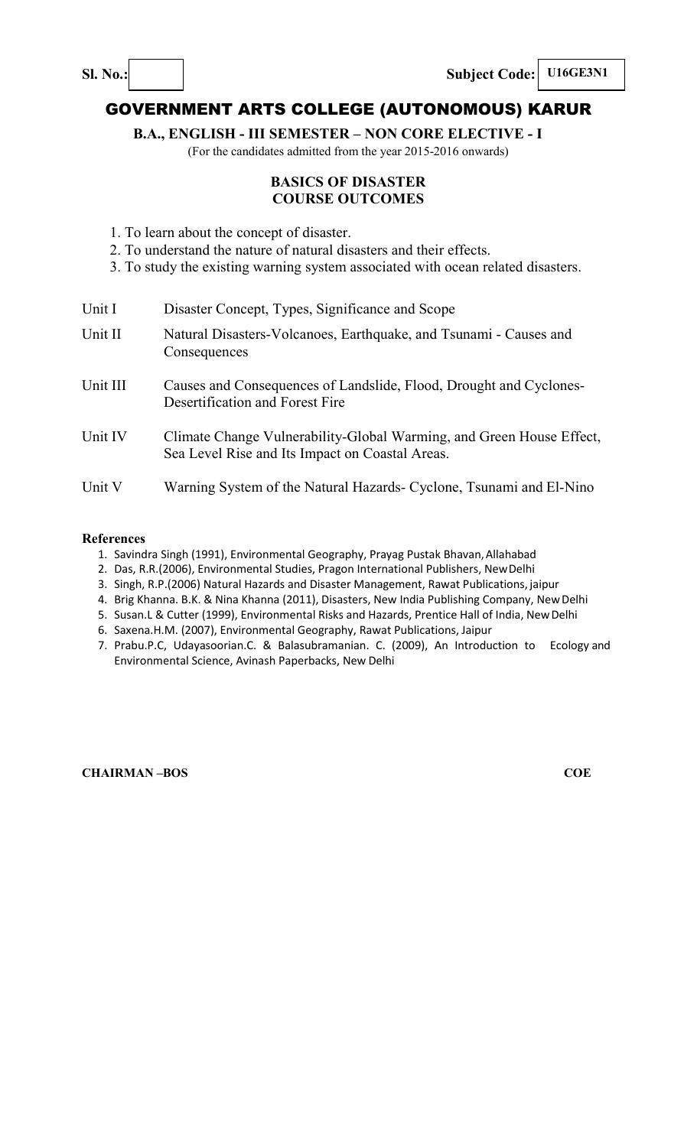**Sl. No.: Subject Code: U16GE3N1** 

# GOVERNMENT ARTS COLLEGE (AUTONOMOUS) KARUR

**B.A., ENGLISH - III SEMESTER – NON CORE ELECTIVE - I** 

(For the candidates admitted from the year 2015-2016 onwards)

## **BASICS OF DISASTER COURSE OUTCOMES**

- 1. To learn about the concept of disaster.
- 2. To understand the nature of natural disasters and their effects.
- 3. To study the existing warning system associated with ocean related disasters.

| Unit I   | Disaster Concept, Types, Significance and Scope                                                                         |
|----------|-------------------------------------------------------------------------------------------------------------------------|
| Unit II  | Natural Disasters-Volcanoes, Earthquake, and Tsunami - Causes and<br>Consequences                                       |
| Unit III | Causes and Consequences of Landslide, Flood, Drought and Cyclones-<br>Desertification and Forest Fire                   |
| Unit IV  | Climate Change Vulnerability-Global Warming, and Green House Effect,<br>Sea Level Rise and Its Impact on Coastal Areas. |
| Unit V   | Warning System of the Natural Hazards- Cyclone, Tsunami and El-Nino                                                     |

#### **References**

- 1. Savindra Singh (1991), Environmental Geography, Prayag Pustak Bhavan, Allahabad
- 2. Das, R.R.(2006), Environmental Studies, Pragon International Publishers, New Delhi
- 3. Singh, R.P.(2006) Natural Hazards and Disaster Management, Rawat Publications, jaipur
- 4. Brig Khanna. B.K. & Nina Khanna (2011), Disasters, New India Publishing Company, New Delhi
- 5. Susan.L & Cutter (1999), Environmental Risks and Hazards, Prentice Hall of India, New Delhi
- 6. Saxena.H.M. (2007), Environmental Geography, Rawat Publications, Jaipur
- 7. Prabu.P.C, Udayasoorian.C. & Balasubramanian. C. (2009), An Introduction to Ecology and Environmental Science, Avinash Paperbacks, New Delhi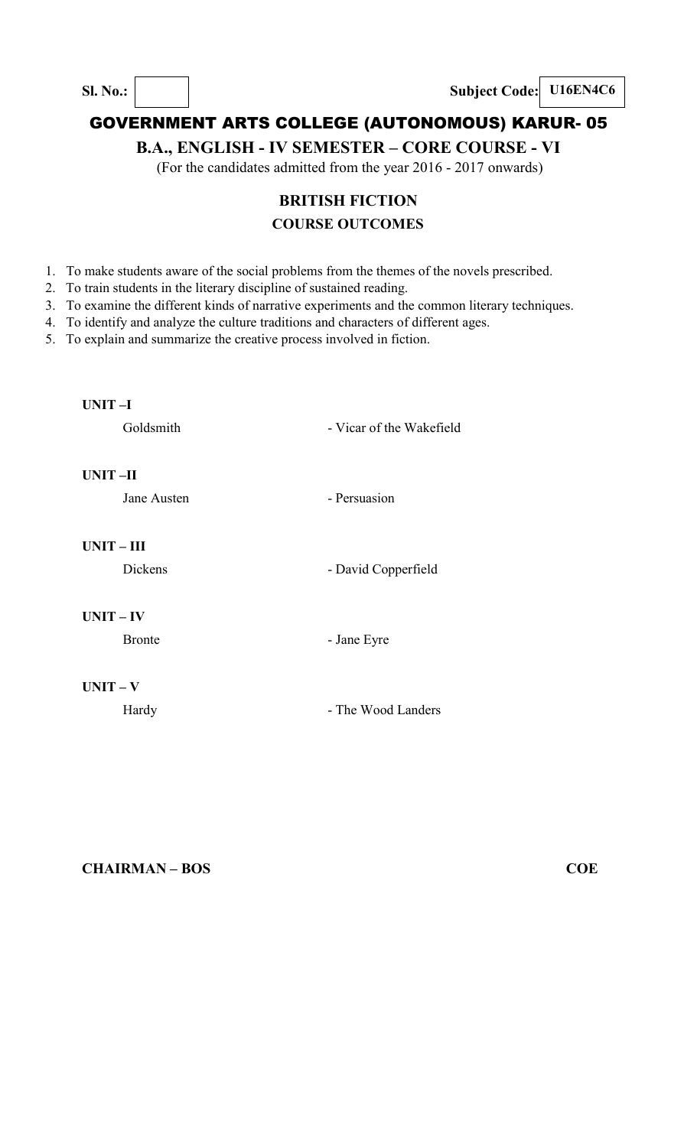## **B.A., ENGLISH - IV SEMESTER – CORE COURSE - VI**

(For the candidates admitted from the year 2016 - 2017 onwards)

# **BRITISH FICTION COURSE OUTCOMES**

- 1. To make students aware of the social problems from the themes of the novels prescribed.
- 2. To train students in the literary discipline of sustained reading.
- 3. To examine the different kinds of narrative experiments and the common literary techniques.
- 4. To identify and analyze the culture traditions and characters of different ages.
- 5. To explain and summarize the creative process involved in fiction.

#### **UNIT –I**

Goldsmith - Vicar of the Wakefield

## **UNIT –II**

Jane Austen **- Persuasion** 

**UNIT – III** 

Dickens - David Copperfield

## **UNIT – IV**

Bronte - Jane Eyre

#### **UNIT – V**

Hardy **- The Wood Landers**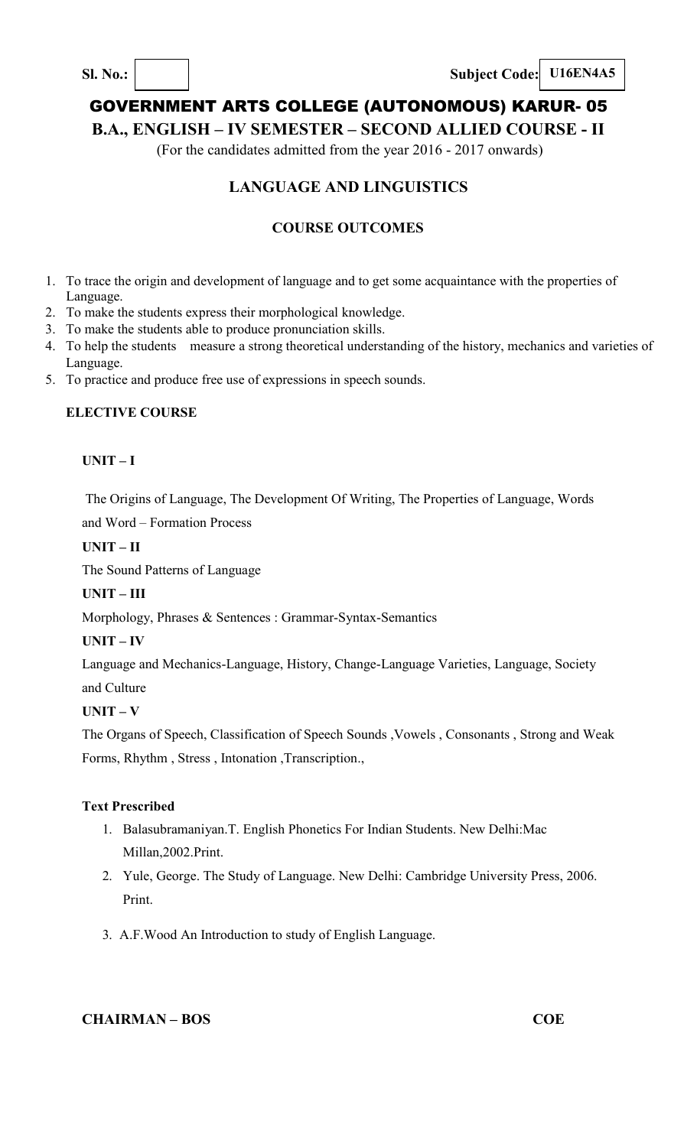**Sl. No.: Subject Code: U16EN4A5**

# GOVERNMENT ARTS COLLEGE (AUTONOMOUS) KARUR- 05

**B.A., ENGLISH – IV SEMESTER – SECOND ALLIED COURSE - II** 

(For the candidates admitted from the year 2016 - 2017 onwards)

# **LANGUAGE AND LINGUISTICS**

## **COURSE OUTCOMES**

- 1. To trace the origin and development of language and to get some acquaintance with the properties of Language.
- 2. To make the students express their morphological knowledge.
- 3. To make the students able to produce pronunciation skills.
- 4. To help the students measure a strong theoretical understanding of the history, mechanics and varieties of Language.
- 5. To practice and produce free use of expressions in speech sounds.

## **ELECTIVE COURSE**

## **UNIT – I**

The Origins of Language, The Development Of Writing, The Properties of Language, Words

and Word – Formation Process

## **UNIT – II**

The Sound Patterns of Language

## **UNIT – III**

Morphology, Phrases & Sentences : Grammar-Syntax-Semantics

## **UNIT – IV**

Language and Mechanics-Language, History, Change-Language Varieties, Language, Society and Culture

## **UNIT – V**

The Organs of Speech, Classification of Speech Sounds ,Vowels , Consonants , Strong and Weak Forms, Rhythm, Stress, Intonation, Transcription.,

## **Text Prescribed**

- 1. Balasubramaniyan.T. English Phonetics For Indian Students. New Delhi:Mac Millan,2002.Print.
- 2. Yule, George. The Study of Language. New Delhi: Cambridge University Press, 2006. Print.
- 3. A.F.Wood An Introduction to study of English Language.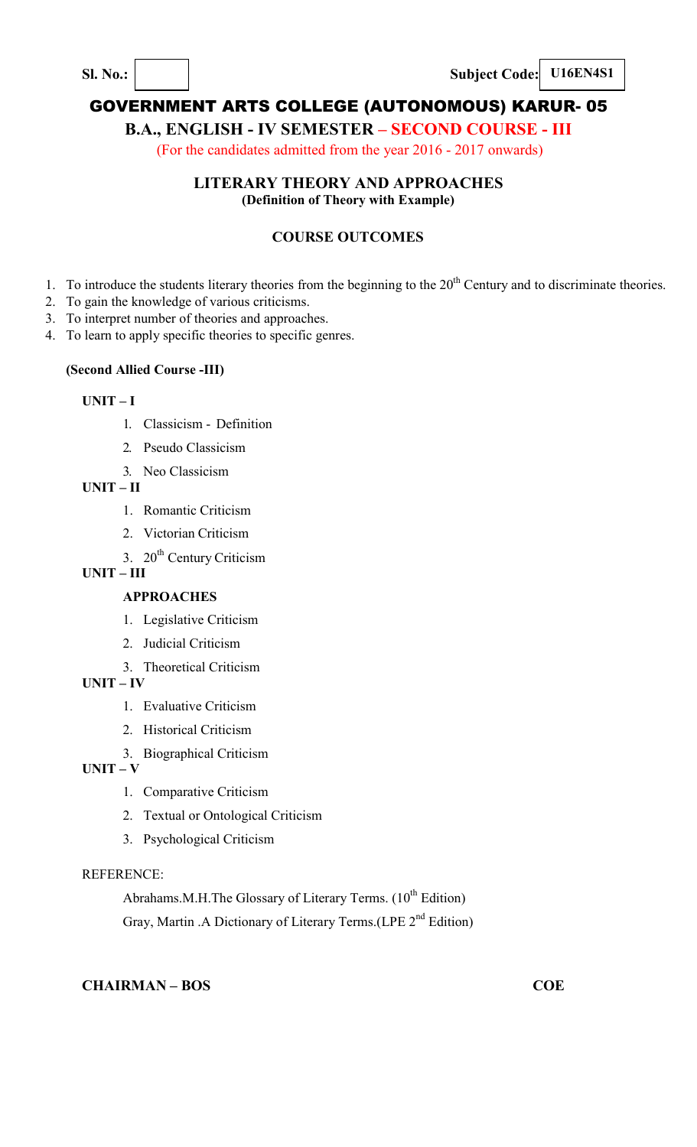**Sl. No.:**  $\vert$  **Subject Code: U16EN4S1** 

# GOVERNMENT ARTS COLLEGE (AUTONOMOUS) KARUR- 05

# **B.A., ENGLISH - IV SEMESTER – SECOND COURSE - III**

(For the candidates admitted from the year 2016 - 2017 onwards)

## **LITERARY THEORY AND APPROACHES**

**(Definition of Theory with Example)** 

## **COURSE OUTCOMES**

- 1. To introduce the students literary theories from the beginning to the  $20<sup>th</sup>$  Century and to discriminate theories.
- 2. To gain the knowledge of various criticisms.
- 3. To interpret number of theories and approaches.
- 4. To learn to apply specific theories to specific genres.

### **(Second Allied Course -III)**

### **UNIT – I**

- 1. Classicism Definition
- 2. Pseudo Classicism
- 3. Neo Classicism

**UNIT – II** 

- 1. Romantic Criticism
- 2. Victorian Criticism
- 3. 20<sup>th</sup> Century Criticism

# **UNIT – III**

## **APPROACHES**

- 1. Legislative Criticism
- 2. Judicial Criticism
- 3. Theoretical Criticism

## **UNIT – IV**

- 1. Evaluative Criticism
- 2. Historical Criticism
- 3. Biographical Criticism
- **UNIT V** 
	- 1. Comparative Criticism
	- 2. Textual or Ontological Criticism
	- 3. Psychological Criticism

#### REFERENCE:

Abrahams.M.H.The Glossary of Literary Terms.  $(10^{th}$  Edition) Gray, Martin .A Dictionary of Literary Terms.(LPE 2<sup>nd</sup> Edition)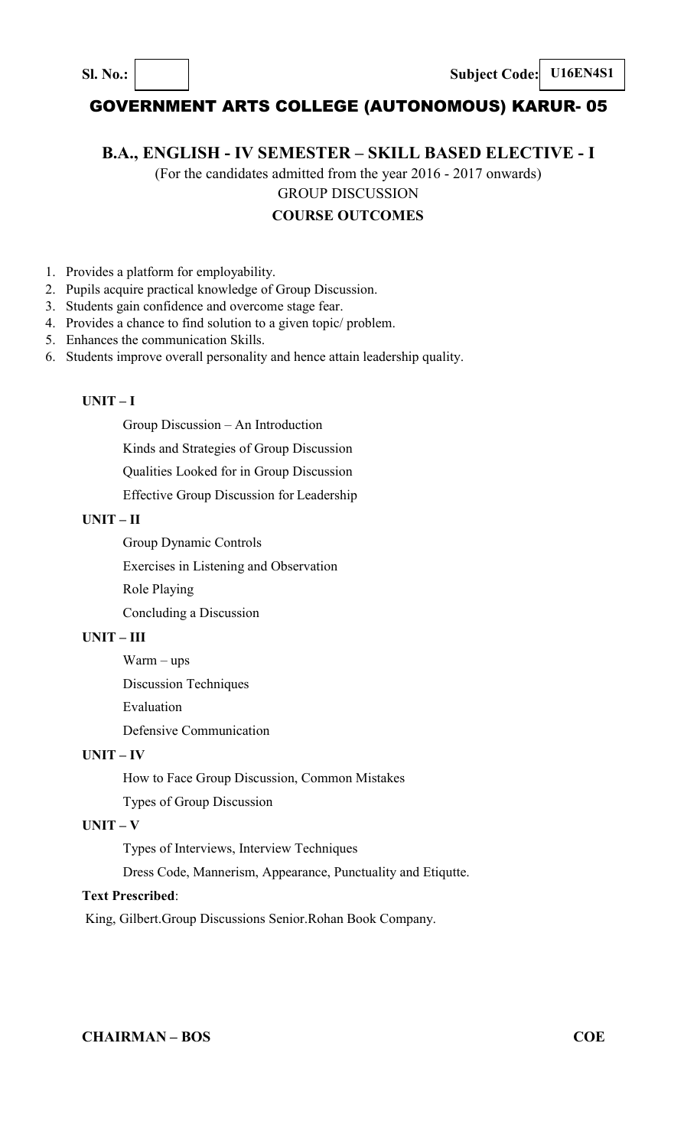**B.A., ENGLISH - IV SEMESTER – SKILL BASED ELECTIVE - I** 

(For the candidates admitted from the year 2016 - 2017 onwards) GROUP DISCUSSION

#### **COURSE OUTCOMES**

- 1. Provides a platform for employability.
- 2. Pupils acquire practical knowledge of Group Discussion.
- 3. Students gain confidence and overcome stage fear.
- 4. Provides a chance to find solution to a given topic/ problem.
- 5. Enhances the communication Skills.
- 6. Students improve overall personality and hence attain leadership quality.

#### **UNIT – I**

Group Discussion – An Introduction

Kinds and Strategies of Group Discussion

Qualities Looked for in Group Discussion

Effective Group Discussion for Leadership

#### **UNIT – II**

Group Dynamic Controls

Exercises in Listening and Observation

Role Playing

Concluding a Discussion

#### **UNIT – III**

Warm – ups

Discussion Techniques

Evaluation

Defensive Communication

#### **UNIT – IV**

How to Face Group Discussion, Common Mistakes

Types of Group Discussion

#### **UNIT – V**

Types of Interviews, Interview Techniques

Dress Code, Mannerism, Appearance, Punctuality and Etiqutte.

### **Text Prescribed**:

King, Gilbert.Group Discussions Senior.Rohan Book Company.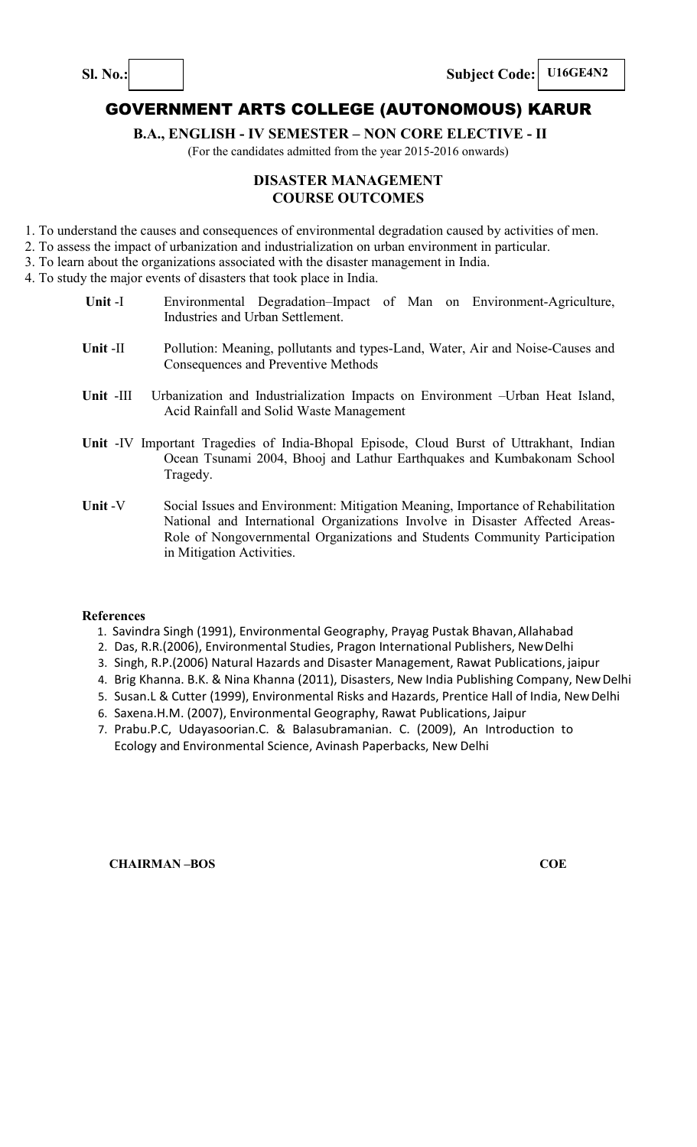**Sl. No.: I Subject Code: U16GE4N2** 

## GOVERNMENT ARTS COLLEGE (AUTONOMOUS) KARUR

**B.A., ENGLISH - IV SEMESTER – NON CORE ELECTIVE - II** 

(For the candidates admitted from the year 2015-2016 onwards)

### **DISASTER MANAGEMENT COURSE OUTCOMES**

- 1. To understand the causes and consequences of environmental degradation caused by activities of men.
- 2. To assess the impact of urbanization and industrialization on urban environment in particular.
- 3. To learn about the organizations associated with the disaster management in India.

4. To study the major events of disasters that took place in India.

- **Unit** -I Environmental Degradation–Impact of Man on Environment-Agriculture, Industries and Urban Settlement.
- **Unit** -II Pollution: Meaning, pollutants and types-Land, Water, Air and Noise-Causes and Consequences and Preventive Methods
- **Unit** -III Urbanization and Industrialization Impacts on Environment –Urban Heat Island, Acid Rainfall and Solid Waste Management
- **Unit** -IV Important Tragedies of India-Bhopal Episode, Cloud Burst of Uttrakhant, Indian Ocean Tsunami 2004, Bhooj and Lathur Earthquakes and Kumbakonam School Tragedy.
- **Unit** -V Social Issues and Environment: Mitigation Meaning, Importance of Rehabilitation National and International Organizations Involve in Disaster Affected Areas-Role of Nongovernmental Organizations and Students Community Participation in Mitigation Activities.

#### **References**

- 1. Savindra Singh (1991), Environmental Geography, Prayag Pustak Bhavan, Allahabad
- 2. Das, R.R.(2006), Environmental Studies, Pragon International Publishers, New Delhi
- 3. Singh, R.P.(2006) Natural Hazards and Disaster Management, Rawat Publications, jaipur
- 4. Brig Khanna. B.K. & Nina Khanna (2011), Disasters, New India Publishing Company, New Delhi
- 5. Susan.L & Cutter (1999), Environmental Risks and Hazards, Prentice Hall of India, New Delhi
- 6. Saxena.H.M. (2007), Environmental Geography, Rawat Publications, Jaipur
- 7. Prabu.P.C, Udayasoorian.C. & Balasubramanian. C. (2009), An Introduction to Ecology and Environmental Science, Avinash Paperbacks, New Delhi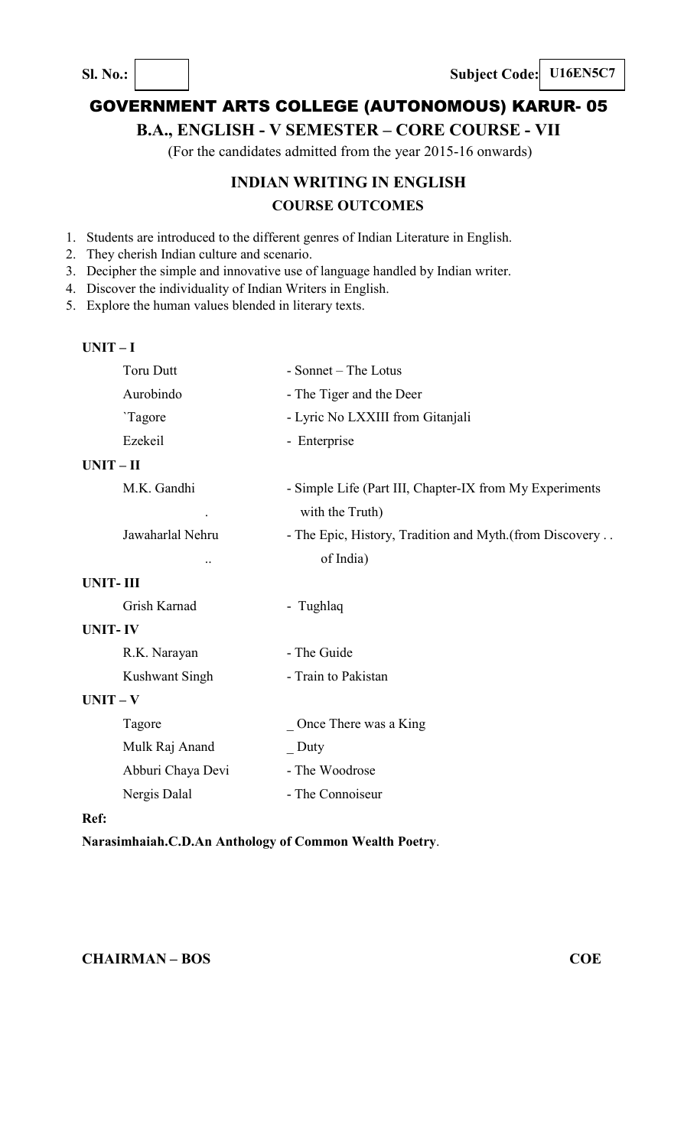**Sl. No.: Subject Code: U16EN5C7** 

# GOVERNMENT ARTS COLLEGE (AUTONOMOUS) KARUR- 05

# **B.A., ENGLISH - V SEMESTER – CORE COURSE - VII**

(For the candidates admitted from the year 2015-16 onwards)

# **INDIAN WRITING IN ENGLISH COURSE OUTCOMES**

- 1. Students are introduced to the different genres of Indian Literature in English.
- 2. They cherish Indian culture and scenario.
- 3. Decipher the simple and innovative use of language handled by Indian writer.
- 4. Discover the individuality of Indian Writers in English.
- 5. Explore the human values blended in literary texts.

#### **UNIT – I**

| <b>Toru Dutt</b>  | - Sonnet – The Lotus                                    |
|-------------------|---------------------------------------------------------|
| Aurobindo         | - The Tiger and the Deer                                |
| 'Tagore           | - Lyric No LXXIII from Gitanjali                        |
| Ezekeil           | - Enterprise                                            |
| $UNIT-II$         |                                                         |
| M.K. Gandhi       | - Simple Life (Part III, Chapter-IX from My Experiments |
|                   | with the Truth)                                         |
| Jawaharlal Nehru  | - The Epic, History, Tradition and Myth.(from Discovery |
|                   | of India)                                               |
| <b>UNIT-III</b>   |                                                         |
| Grish Karnad      | - Tughlaq                                               |
| <b>UNIT-IV</b>    |                                                         |
| R.K. Narayan      | - The Guide                                             |
| Kushwant Singh    | - Train to Pakistan                                     |
| $UNIT - V$        |                                                         |
| Tagore            | Once There was a King                                   |
| Mulk Raj Anand    | Duty                                                    |
| Abburi Chaya Devi | - The Woodrose                                          |
| Nergis Dalal      | - The Connoiseur                                        |
| Ref:              |                                                         |
|                   |                                                         |

## **Narasimhaiah.C.D.An Anthology of Common Wealth Poetry**.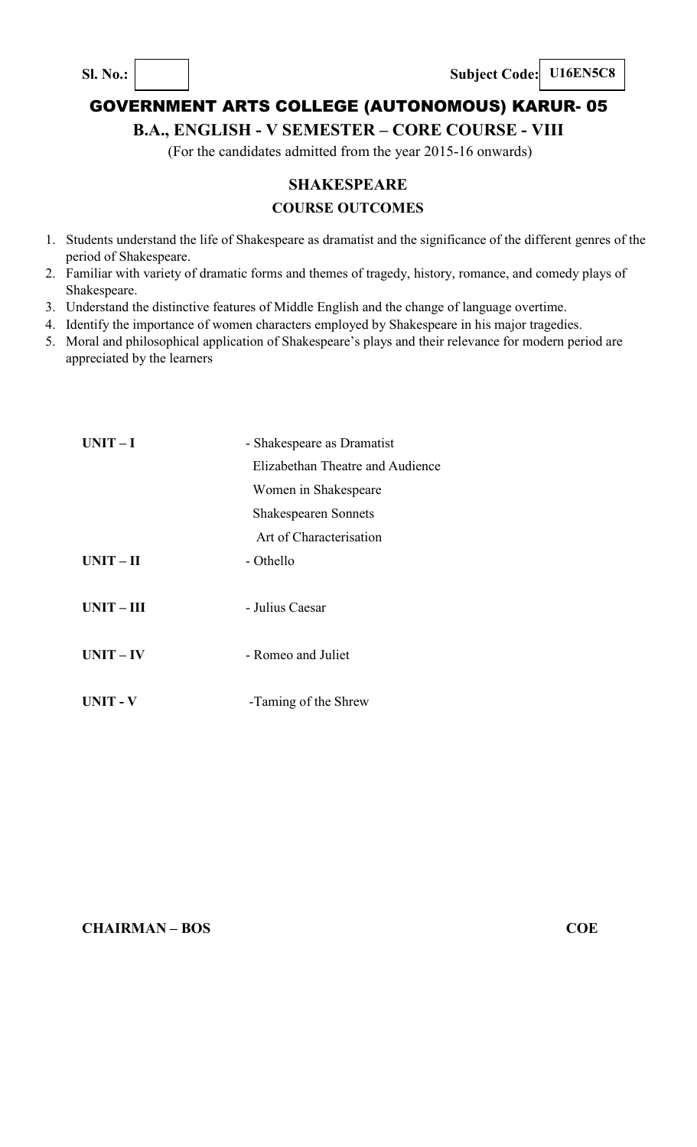**Sl. No.: Subject Code: U16EN5C8**

# GOVERNMENT ARTS COLLEGE (AUTONOMOUS) KARUR- 05

**B.A., ENGLISH - V SEMESTER – CORE COURSE - VIII** 

(For the candidates admitted from the year 2015-16 onwards)

# **SHAKESPEARE COURSE OUTCOMES**

- 1. Students understand the life of Shakespeare as dramatist and the significance of the different genres of the period of Shakespeare.
- 2. Familiar with variety of dramatic forms and themes of tragedy, history, romance, and comedy plays of Shakespeare.
- 3. Understand the distinctive features of Middle English and the change of language overtime.
- 4. Identify the importance of women characters employed by Shakespeare in his major tragedies.
- 5. Moral and philosophical application of Shakespeare's plays and their relevance for modern period are appreciated by the learners

| $UNIT-I$        | - Shakespeare as Dramatist       |
|-----------------|----------------------------------|
|                 | Elizabethan Theatre and Audience |
|                 | Women in Shakespeare             |
|                 | <b>Shakespearen Sonnets</b>      |
|                 | Art of Characterisation          |
| $UNIT - II$     | - Othello                        |
|                 |                                  |
| $UNIT - III$    | - Julius Caesar                  |
|                 |                                  |
| $UNIT - IV$     | - Romeo and Juliet               |
|                 |                                  |
| <b>UNIT - V</b> | -Taming of the Shrew             |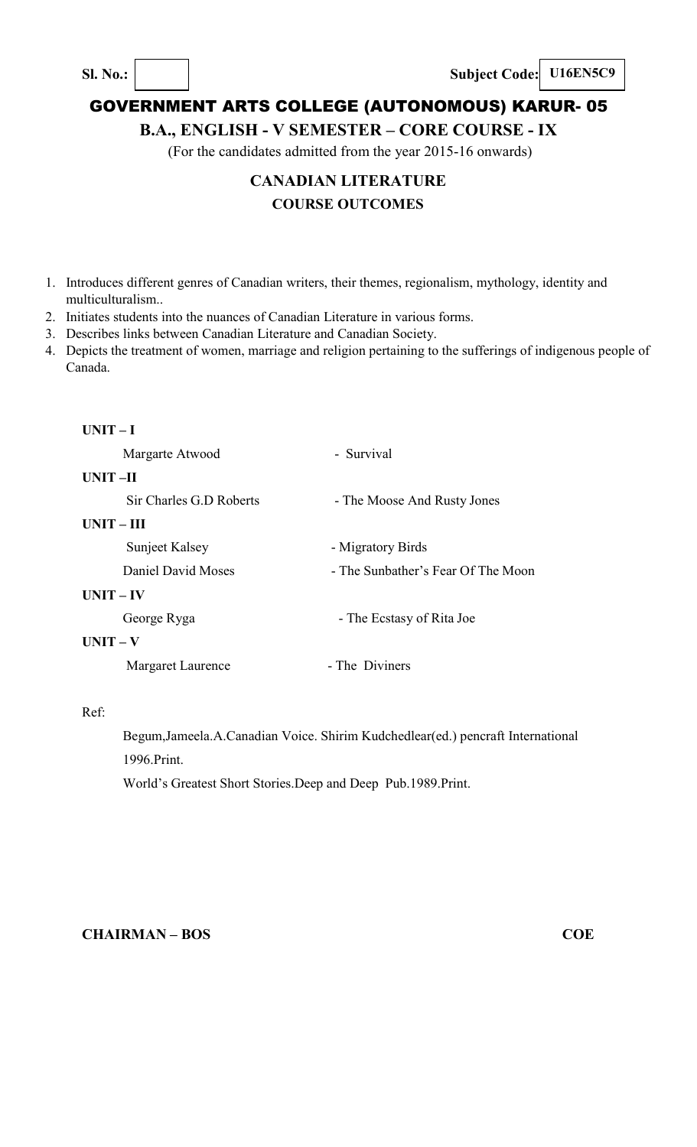**Sl. No.: Subject Code: U16EN5C9** 

# GOVERNMENT ARTS COLLEGE (AUTONOMOUS) KARUR- 05

**B.A., ENGLISH - V SEMESTER – CORE COURSE - IX** 

(For the candidates admitted from the year 2015-16 onwards)

# **CANADIAN LITERATURE COURSE OUTCOMES**

- 1. Introduces different genres of Canadian writers, their themes, regionalism, mythology, identity and multiculturalism..
- 2. Initiates students into the nuances of Canadian Literature in various forms.
- 3. Describes links between Canadian Literature and Canadian Society.
- 4. Depicts the treatment of women, marriage and religion pertaining to the sufferings of indigenous people of Canada.

| $UNIT-I$     |                         |                                    |
|--------------|-------------------------|------------------------------------|
|              | Margarte Atwood         | - Survival                         |
| UNIT-II      |                         |                                    |
|              | Sir Charles G.D Roberts | - The Moose And Rusty Jones        |
| $UNIT - III$ |                         |                                    |
|              | Sunjeet Kalsey          | - Migratory Birds                  |
|              | Daniel David Moses      | - The Sunbather's Fear Of The Moon |
| $UNIT - IV$  |                         |                                    |
|              | George Ryga             | - The Ecstasy of Rita Joe          |
| $UNIT - V$   |                         |                                    |
|              | Margaret Laurence       | - The Diviners                     |
|              |                         |                                    |

Ref:

Begum,Jameela.A.Canadian Voice. Shirim Kudchedlear(ed.) pencraft International 1996.Print.

World's Greatest Short Stories.Deep and Deep Pub.1989.Print.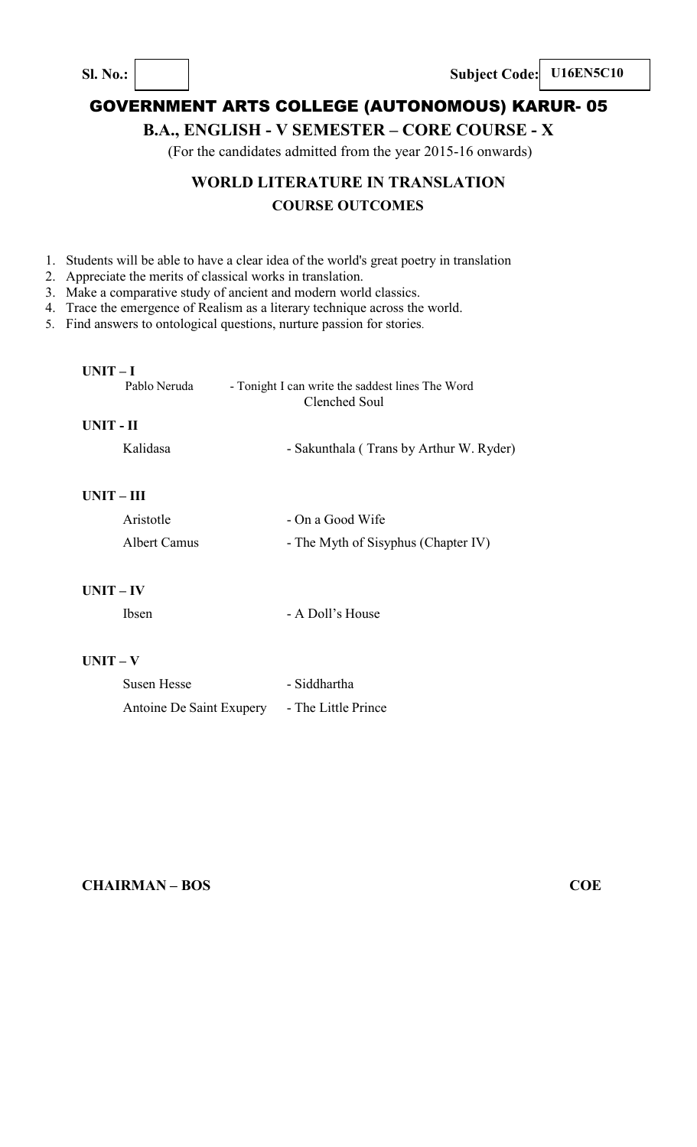**Sl. No.:**  $\begin{vmatrix} \cdot & \cdot & \cdot \\ \cdot & \cdot & \cdot \end{vmatrix}$  **Subject Code:** U16EN5C10

# GOVERNMENT ARTS COLLEGE (AUTONOMOUS) KARUR- 05

# **B.A., ENGLISH - V SEMESTER – CORE COURSE - X**

(For the candidates admitted from the year 2015-16 onwards)

# **WORLD LITERATURE IN TRANSLATION COURSE OUTCOMES**

- 1. Students will be able to have a clear idea of the world's great poetry in translation
- 2. Appreciate the merits of classical works in translation.
- 3. Make a comparative study of ancient and modern world classics.
- 4. Trace the emergence of Realism as a literary technique across the world.
- 5. Find answers to ontological questions, nurture passion for stories.

## **UNIT – I**

| Pablo Neruda | - Tonight I can write the saddest lines The Word |
|--------------|--------------------------------------------------|
|              | Clenched Soul                                    |
| UNIT - II    |                                                  |
| Kalidasa     | - Sakunthala (Trans by Arthur W. Ryder)          |

## **UNIT – III**

| Aristotle    | - On a Good Wife                    |
|--------------|-------------------------------------|
| Albert Camus | - The Myth of Sisyphus (Chapter IV) |

## **UNIT – IV**

Ibsen - A Doll's House

## **UNIT – V**

| Susen Hesse              | - Siddhartha        |
|--------------------------|---------------------|
| Antoine De Saint Exupery | - The Little Prince |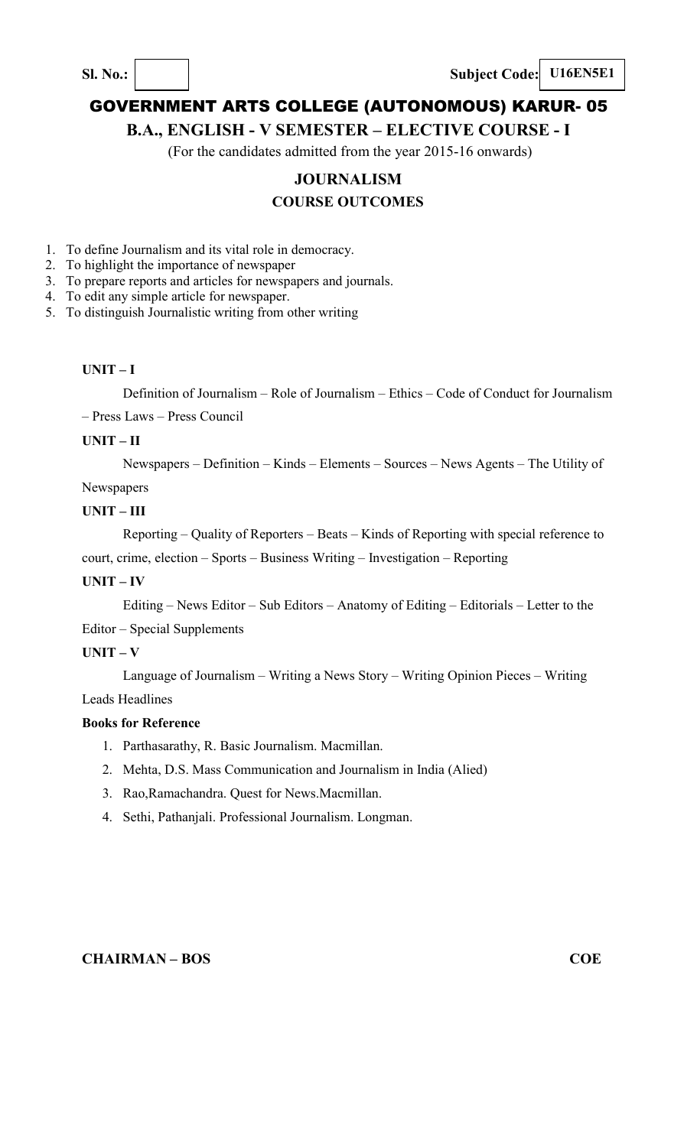**Sl. No.:**  $\vert$  **Subject Code: U16EN5E1** 

## GOVERNMENT ARTS COLLEGE (AUTONOMOUS) KARUR- 05

### **B.A., ENGLISH - V SEMESTER – ELECTIVE COURSE - I**

(For the candidates admitted from the year 2015-16 onwards)

## **JOURNALISM**

## **COURSE OUTCOMES**

- 1. To define Journalism and its vital role in democracy.
- 2. To highlight the importance of newspaper
- 3. To prepare reports and articles for newspapers and journals.
- 4. To edit any simple article for newspaper.
- 5. To distinguish Journalistic writing from other writing

#### **UNIT – I**

Definition of Journalism – Role of Journalism – Ethics – Code of Conduct for Journalism

– Press Laws – Press Council

#### **UNIT – II**

Newspapers – Definition – Kinds – Elements – Sources – News Agents – The Utility of Newspapers

#### **UNIT – III**

Reporting – Quality of Reporters – Beats – Kinds of Reporting with special reference to court, crime, election – Sports – Business Writing – Investigation – Reporting

#### **UNIT – IV**

Editing – News Editor – Sub Editors – Anatomy of Editing – Editorials – Letter to the

Editor – Special Supplements

#### **UNIT – V**

Language of Journalism – Writing a News Story – Writing Opinion Pieces – Writing

Leads Headlines

#### **Books for Reference**

- 1. Parthasarathy, R. Basic Journalism. Macmillan.
- 2. Mehta, D.S. Mass Communication and Journalism in India (Alied)
- 3. Rao,Ramachandra. Quest for News.Macmillan.
- 4. Sethi, Pathanjali. Professional Journalism. Longman.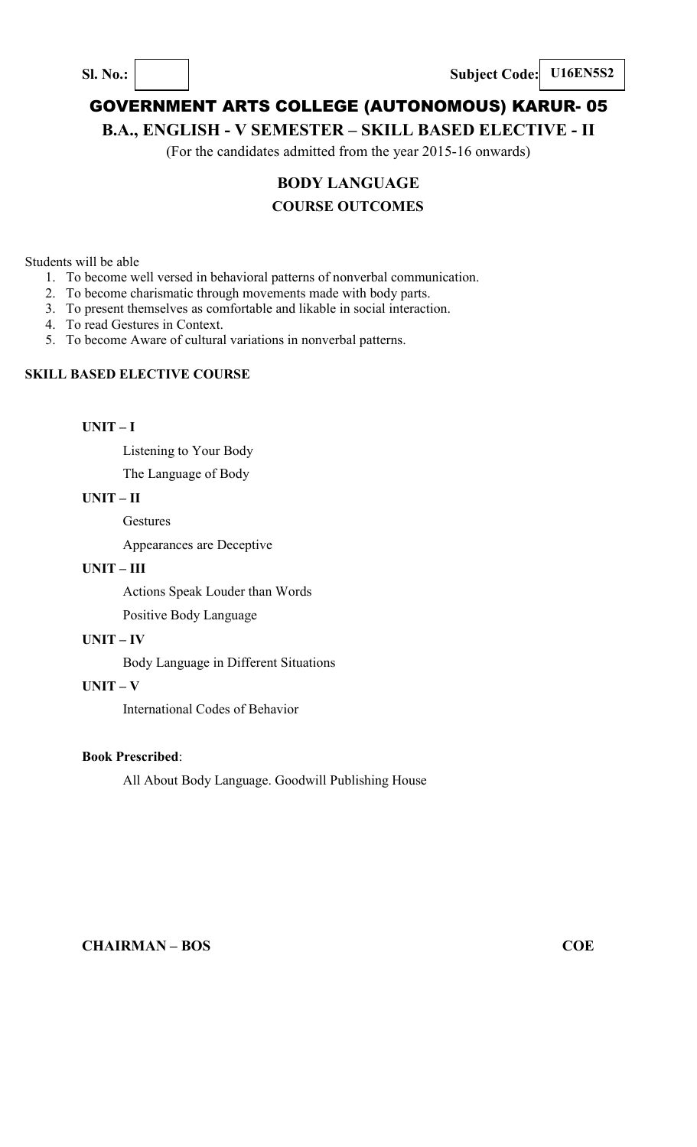**Sl. No.: Subject Code: U16EN5S2** 

# GOVERNMENT ARTS COLLEGE (AUTONOMOUS) KARUR- 05

## **B.A., ENGLISH - V SEMESTER – SKILL BASED ELECTIVE - II**

(For the candidates admitted from the year 2015-16 onwards)

## **BODY LANGUAGE**

## **COURSE OUTCOMES**

Students will be able

- 1. To become well versed in behavioral patterns of nonverbal communication.
- 2. To become charismatic through movements made with body parts.
- 3. To present themselves as comfortable and likable in social interaction.
- 4. To read Gestures in Context.
- 5. To become Aware of cultural variations in nonverbal patterns.

#### **SKILL BASED ELECTIVE COURSE**

**UNIT – I** 

Listening to Your Body

The Language of Body

#### **UNIT – II**

**Gestures** 

Appearances are Deceptive

#### **UNIT – III**

Actions Speak Louder than Words

Positive Body Language

#### **UNIT – IV**

Body Language in Different Situations

#### **UNIT – V**

International Codes of Behavior

#### **Book Prescribed**:

All About Body Language. Goodwill Publishing House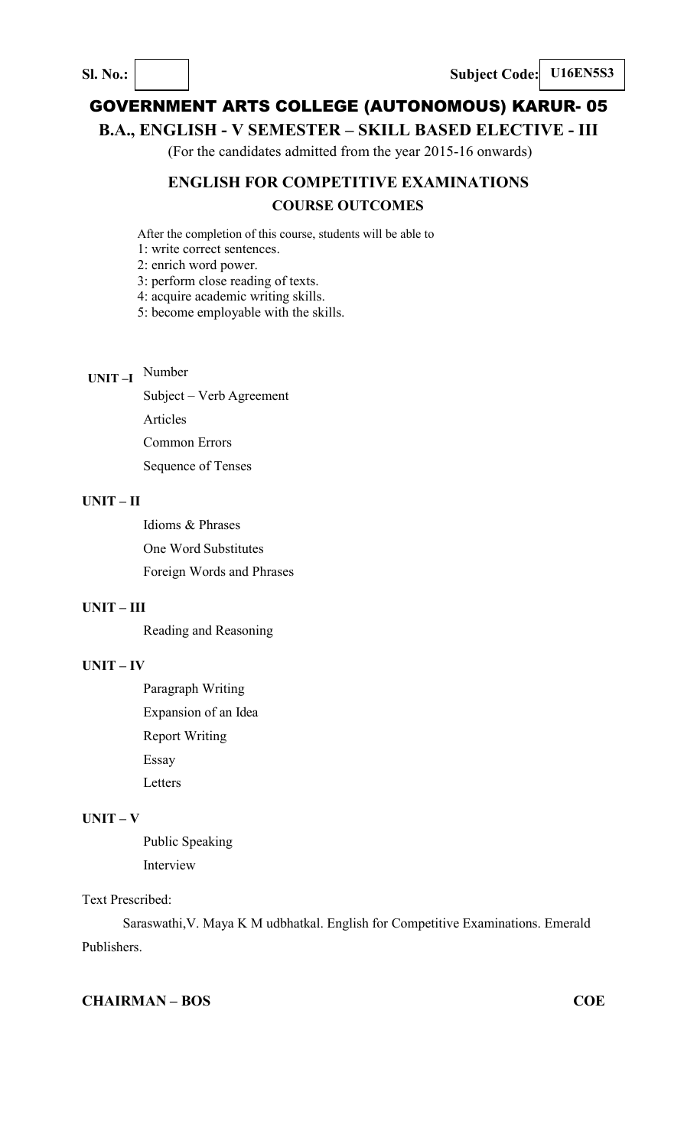## **B.A., ENGLISH - V SEMESTER – SKILL BASED ELECTIVE - III**

(For the candidates admitted from the year 2015-16 onwards)

# **ENGLISH FOR COMPETITIVE EXAMINATIONS COURSE OUTCOMES**

After the completion of this course, students will be able to

1: write correct sentences.

2: enrich word power.

3: perform close reading of texts.

4: acquire academic writing skills.

5: become employable with the skills.

# **UNIT –I**  Number

Subject – Verb Agreement Articles Common Errors Sequence of Tenses

#### **UNIT – II**

Idioms & Phrases

One Word Substitutes

Foreign Words and Phrases

#### **UNIT – III**

Reading and Reasoning

#### **UNIT – IV**

Paragraph Writing Expansion of an Idea Report Writing Essay Letters

## **UNIT – V**

Public Speaking Interview

### Text Prescribed:

Saraswathi,V. Maya K M udbhatkal. English for Competitive Examinations. Emerald Publishers.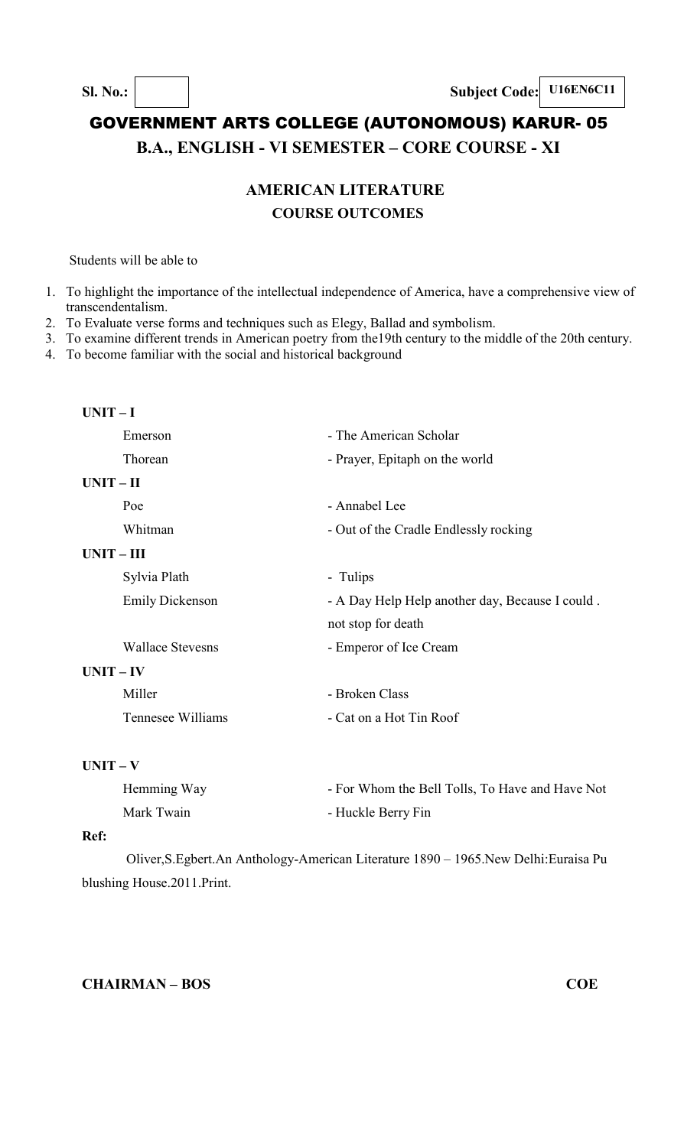# GOVERNMENT ARTS COLLEGE (AUTONOMOUS) KARUR- 05 **B.A., ENGLISH - VI SEMESTER – CORE COURSE - XI**

# **AMERICAN LITERATURE COURSE OUTCOMES**

Students will be able to

- 1. To highlight the importance of the intellectual independence of America, have a comprehensive view of transcendentalism.
- 2. To Evaluate verse forms and techniques such as Elegy, Ballad and symbolism.
- 3. To examine different trends in American poetry from the19th century to the middle of the 20th century.
- 4. To become familiar with the social and historical background

| $UNIT-I$                |                                                 |  |
|-------------------------|-------------------------------------------------|--|
| Emerson                 | - The American Scholar                          |  |
| Thorean                 | - Prayer, Epitaph on the world                  |  |
| $UNIT - II$             |                                                 |  |
| Poe                     | - Annabel Lee                                   |  |
| Whitman                 | - Out of the Cradle Endlessly rocking           |  |
| $UNIT - III$            |                                                 |  |
| Sylvia Plath            | - Tulips                                        |  |
| <b>Emily Dickenson</b>  | - A Day Help Help another day, Because I could. |  |
|                         | not stop for death                              |  |
| <b>Wallace Stevesns</b> | - Emperor of Ice Cream                          |  |
| $UNIT - IV$             |                                                 |  |
| Miller                  | - Broken Class                                  |  |
| Tennesee Williams       | - Cat on a Hot Tin Roof                         |  |
|                         |                                                 |  |

#### **UNIT – V**

| Hemming Way | - For Whom the Bell Tolls, To Have and Have Not |
|-------------|-------------------------------------------------|
| Mark Twain  | - Huckle Berry Fin                              |

#### **Ref:**

Oliver,S.Egbert.An Anthology-American Literature 1890 – 1965.New Delhi:Euraisa Pu blushing House.2011.Print.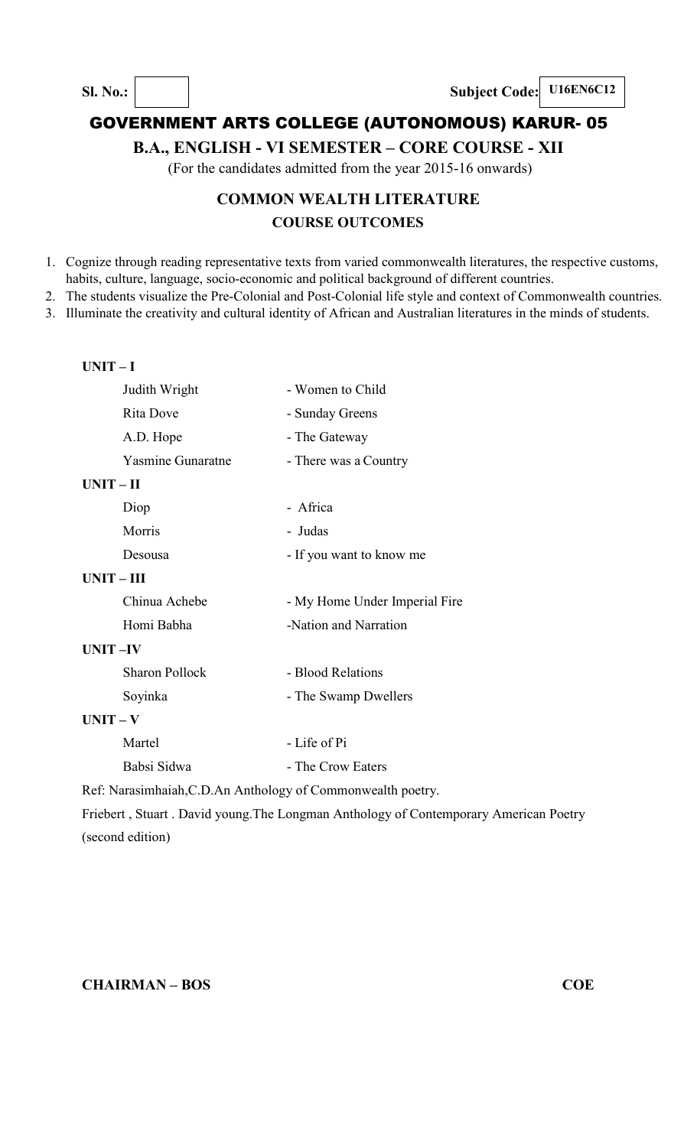## **B.A., ENGLISH - VI SEMESTER – CORE COURSE - XII**

(For the candidates admitted from the year 2015-16 onwards)

# **COMMON WEALTH LITERATURE COURSE OUTCOMES**

- 1. Cognize through reading representative texts from varied commonwealth literatures, the respective customs, habits, culture, language, socio-economic and political background of different countries.
- 2. The students visualize the Pre-Colonial and Post-Colonial life style and context of Commonwealth countries.
- 3. Illuminate the creativity and cultural identity of African and Australian literatures in the minds of students.

#### **UNIT – I**

|                                                              | Judith Wright         | - Women to Child              |  |  |
|--------------------------------------------------------------|-----------------------|-------------------------------|--|--|
|                                                              | Rita Dove             | - Sunday Greens               |  |  |
|                                                              | A.D. Hope             | - The Gateway                 |  |  |
|                                                              | Yasmine Gunaratne     | - There was a Country         |  |  |
| $UNIT-II$                                                    |                       |                               |  |  |
|                                                              | Diop                  | - Africa                      |  |  |
|                                                              | Morris                | - Judas                       |  |  |
|                                                              | Desousa               | - If you want to know me      |  |  |
| $UNIT-III$                                                   |                       |                               |  |  |
|                                                              | Chinua Achebe         | - My Home Under Imperial Fire |  |  |
|                                                              | Homi Babha            | -Nation and Narration         |  |  |
| UNIT-IV                                                      |                       |                               |  |  |
|                                                              | <b>Sharon Pollock</b> | - Blood Relations             |  |  |
|                                                              | Soyinka               | - The Swamp Dwellers          |  |  |
| $UNIT - V$                                                   |                       |                               |  |  |
|                                                              | Martel                | - Life of Pi                  |  |  |
|                                                              | Babsi Sidwa           | - The Crow Eaters             |  |  |
| Ref: Narasimhaiah, C.D. An Anthology of Commonwealth poetry. |                       |                               |  |  |
| $\Gamma$ is a primer and the set of $\Gamma$                 |                       |                               |  |  |

Friebert , Stuart . David young.The Longman Anthology of Contemporary American Poetry (second edition)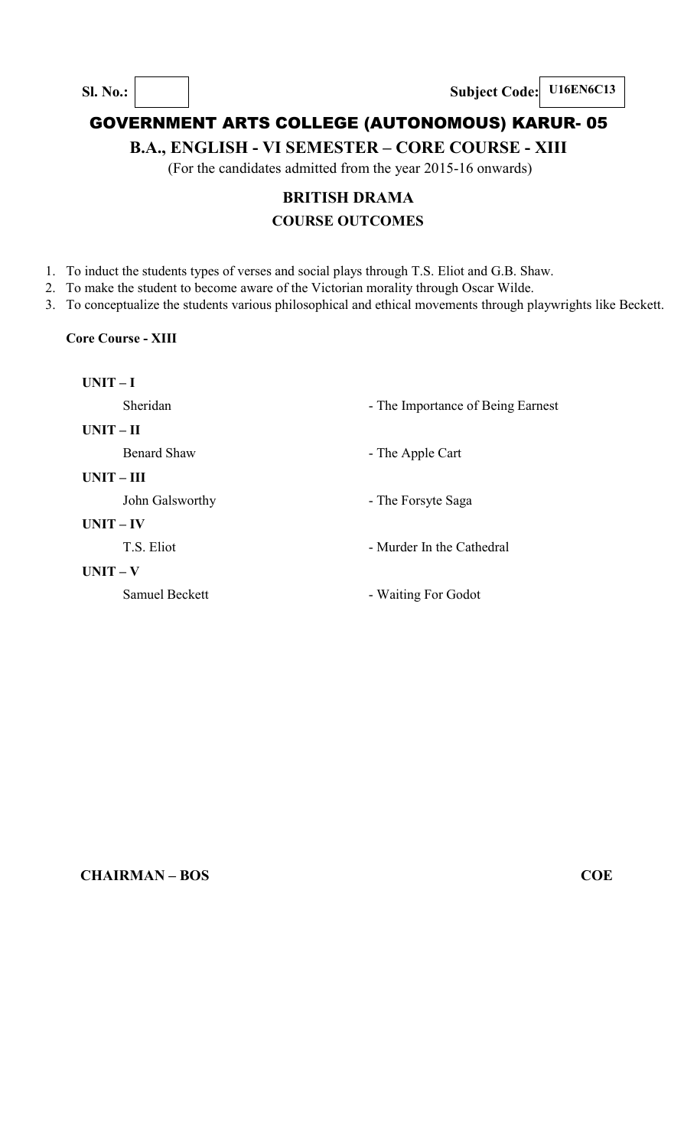**B.A., ENGLISH - VI SEMESTER – CORE COURSE - XIII** 

(For the candidates admitted from the year 2015-16 onwards)

# **BRITISH DRAMA COURSE OUTCOMES**

1. To induct the students types of verses and social plays through T.S. Eliot and G.B. Shaw.

2. To make the student to become aware of the Victorian morality through Oscar Wilde.

3. To conceptualize the students various philosophical and ethical movements through playwrights like Beckett.

## **Core Course - XIII**

| $UNIT-I$              |                                   |
|-----------------------|-----------------------------------|
| Sheridan              | - The Importance of Being Earnest |
| $UNIT - II$           |                                   |
| <b>Benard Shaw</b>    | - The Apple Cart                  |
| $UNIT - III$          |                                   |
| John Galsworthy       | - The Forsyte Saga                |
| $UNIT - IV$           |                                   |
| T.S. Eliot            | - Murder In the Cathedral         |
| $UNIT - V$            |                                   |
| <b>Samuel Beckett</b> | - Waiting For Godot               |
|                       |                                   |
|                       |                                   |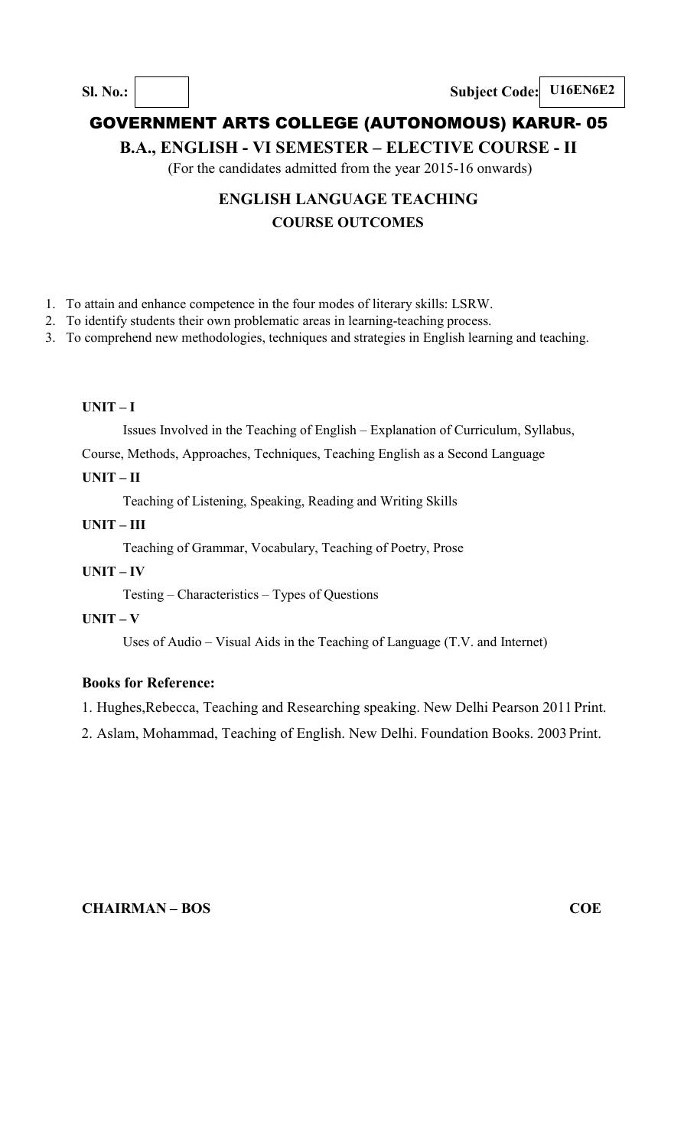**B.A., ENGLISH - VI SEMESTER – ELECTIVE COURSE - II** 

(For the candidates admitted from the year 2015-16 onwards)

# **ENGLISH LANGUAGE TEACHING COURSE OUTCOMES**

- 1. To attain and enhance competence in the four modes of literary skills: LSRW.
- 2. To identify students their own problematic areas in learning-teaching process.
- 3. To comprehend new methodologies, techniques and strategies in English learning and teaching.

#### **UNIT – I**

Issues Involved in the Teaching of English – Explanation of Curriculum, Syllabus,

Course, Methods, Approaches, Techniques, Teaching English as a Second Language

### **UNIT – II**

Teaching of Listening, Speaking, Reading and Writing Skills

#### **UNIT – III**

Teaching of Grammar, Vocabulary, Teaching of Poetry, Prose

#### **UNIT – IV**

Testing – Characteristics – Types of Questions

## **UNIT – V**

Uses of Audio – Visual Aids in the Teaching of Language (T.V. and Internet)

## **Books for Reference:**

1. Hughes,Rebecca, Teaching and Researching speaking. New Delhi Pearson 2011 Print.

2. Aslam, Mohammad, Teaching of English. New Delhi. Foundation Books. 2003 Print.